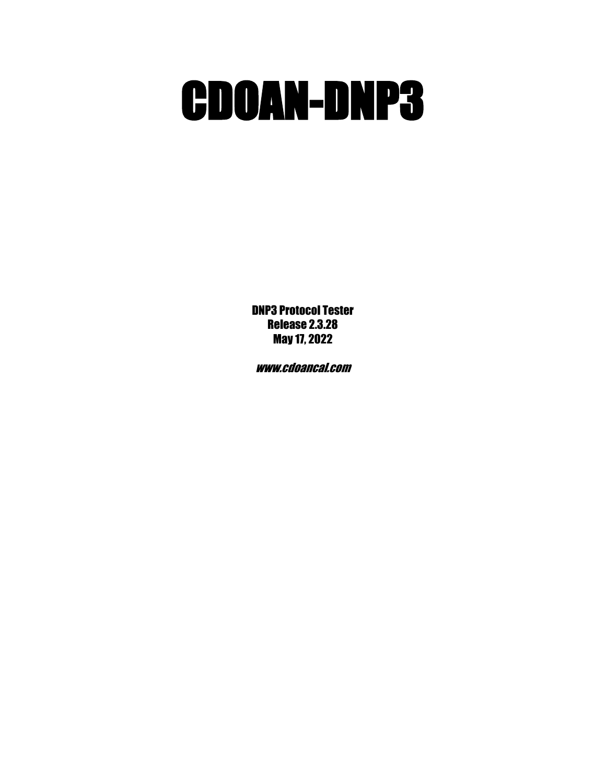# CDOAN-DNP3

DNP3 Protocol Tester Release 2.3.28 May 17, 2022

www.cdoancal.com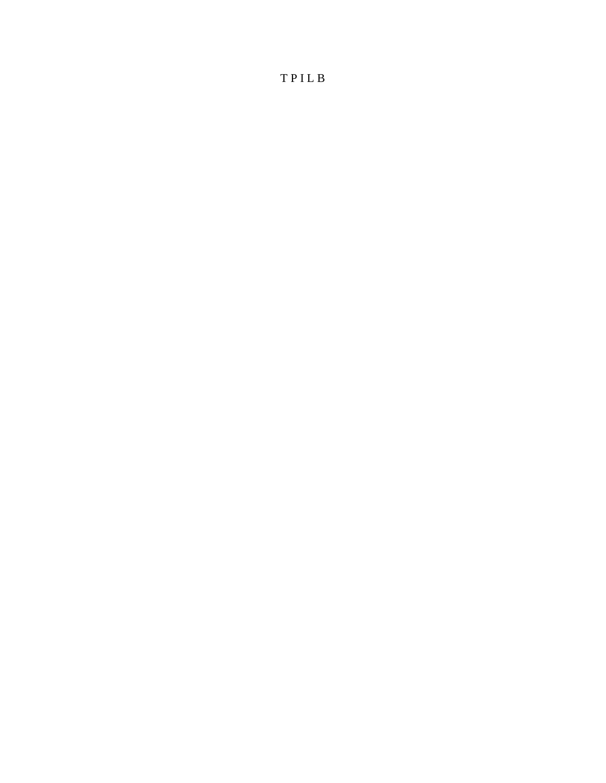T P I L B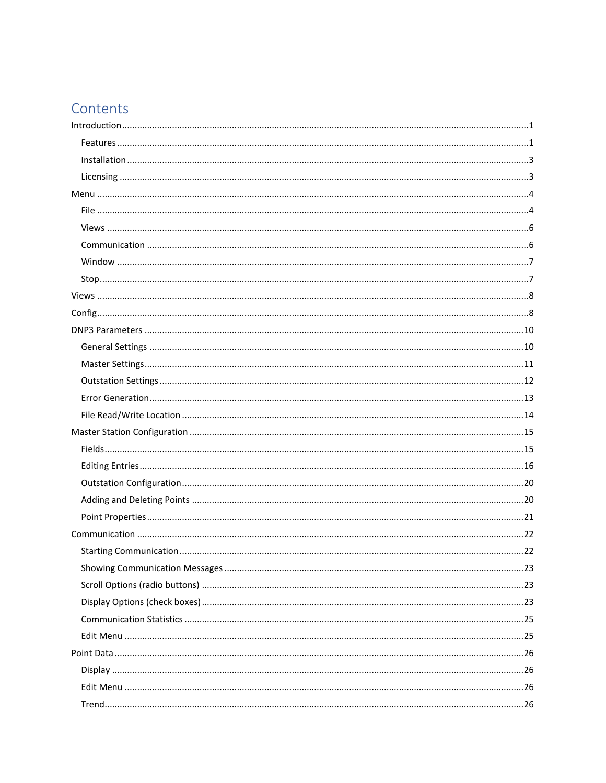# Contents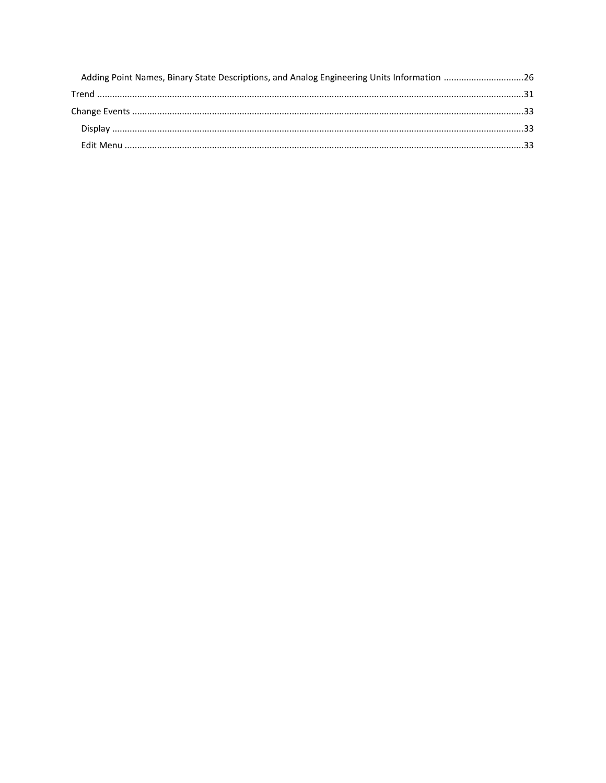| Adding Point Names, Binary State Descriptions, and Analog Engineering Units Information 26 |  |
|--------------------------------------------------------------------------------------------|--|
|                                                                                            |  |
|                                                                                            |  |
|                                                                                            |  |
|                                                                                            |  |
|                                                                                            |  |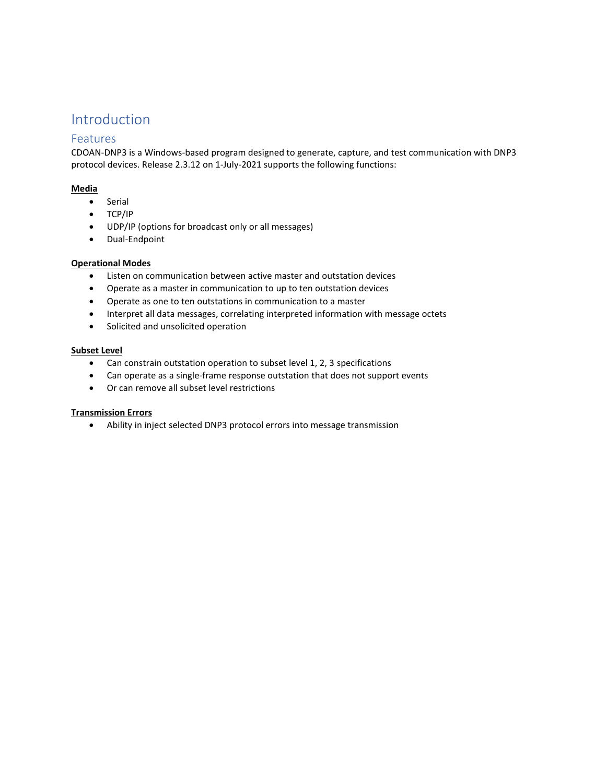# <span id="page-4-0"></span>Introduction

## <span id="page-4-1"></span>Features

CDOAN-DNP3 is a Windows-based program designed to generate, capture, and test communication with DNP3 protocol devices. Release 2.3.12 on 1-July-2021 supports the following functions:

## **Media**

- Serial
- TCP/IP
- UDP/IP (options for broadcast only or all messages)
- Dual-Endpoint

## **Operational Modes**

- Listen on communication between active master and outstation devices
- Operate as a master in communication to up to ten outstation devices
- Operate as one to ten outstations in communication to a master
- Interpret all data messages, correlating interpreted information with message octets
- Solicited and unsolicited operation

## **Subset Level**

- Can constrain outstation operation to subset level 1, 2, 3 specifications
- Can operate as a single-frame response outstation that does not support events
- Or can remove all subset level restrictions

## **Transmission Errors**

• Ability in inject selected DNP3 protocol errors into message transmission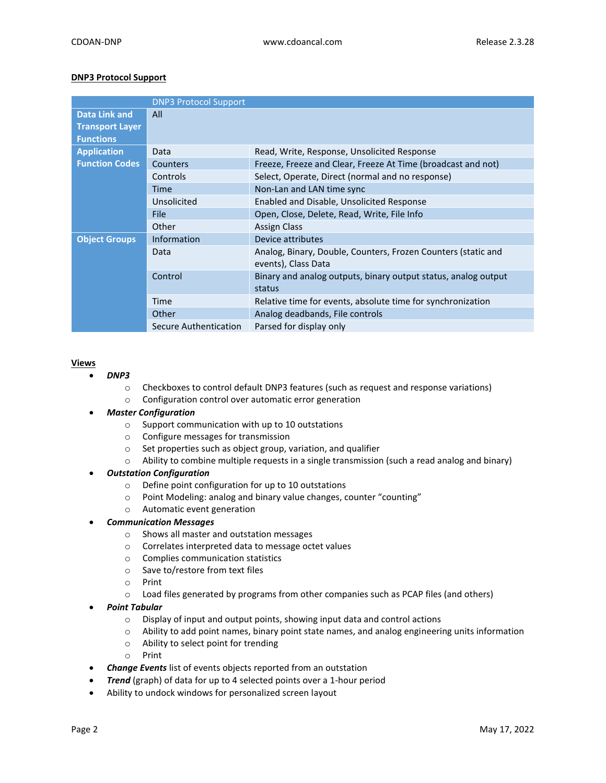#### **DNP3 Protocol Support**

|                                                                    | <b>DNP3 Protocol Support</b>                                    |                                                                                      |  |  |  |  |
|--------------------------------------------------------------------|-----------------------------------------------------------------|--------------------------------------------------------------------------------------|--|--|--|--|
| <b>Data Link and</b><br><b>Transport Layer</b><br><b>Functions</b> | All                                                             |                                                                                      |  |  |  |  |
| <b>Application</b>                                                 | Data                                                            | Read, Write, Response, Unsolicited Response                                          |  |  |  |  |
| <b>Function Codes</b>                                              | Counters                                                        | Freeze, Freeze and Clear, Freeze At Time (broadcast and not)                         |  |  |  |  |
|                                                                    | Controls                                                        | Select, Operate, Direct (normal and no response)                                     |  |  |  |  |
|                                                                    | <b>Time</b>                                                     | Non-Lan and LAN time sync                                                            |  |  |  |  |
|                                                                    | Unsolicited<br><b>Enabled and Disable, Unsolicited Response</b> |                                                                                      |  |  |  |  |
|                                                                    | Open, Close, Delete, Read, Write, File Info<br><b>File</b>      |                                                                                      |  |  |  |  |
|                                                                    | Other<br><b>Assign Class</b>                                    |                                                                                      |  |  |  |  |
| <b>Object Groups</b>                                               | Information                                                     | Device attributes                                                                    |  |  |  |  |
|                                                                    | Data                                                            | Analog, Binary, Double, Counters, Frozen Counters (static and<br>events), Class Data |  |  |  |  |
|                                                                    | Control                                                         | Binary and analog outputs, binary output status, analog output<br>status             |  |  |  |  |
|                                                                    | Time                                                            | Relative time for events, absolute time for synchronization                          |  |  |  |  |
|                                                                    | Other                                                           | Analog deadbands, File controls                                                      |  |  |  |  |
|                                                                    | Secure Authentication                                           | Parsed for display only                                                              |  |  |  |  |

#### **Views**

- *DNP3*
	- $\circ$  Checkboxes to control default DNP3 features (such as request and response variations)
	- o Configuration control over automatic error generation

#### • *Master Configuration*

- o Support communication with up to 10 outstations
- o Configure messages for transmission
- o Set properties such as object group, variation, and qualifier
- o Ability to combine multiple requests in a single transmission (such a read analog and binary)

#### • *Outstation Configuration*

- o Define point configuration for up to 10 outstations
- o Point Modeling: analog and binary value changes, counter "counting"
- o Automatic event generation

#### • *Communication Messages*

- o Shows all master and outstation messages
- o Correlates interpreted data to message octet values
- o Complies communication statistics
- o Save to/restore from text files
- o Print
- $\circ$  Load files generated by programs from other companies such as PCAP files (and others)
- *Point Tabular*
	- o Display of input and output points, showing input data and control actions
	- $\circ$  Ability to add point names, binary point state names, and analog engineering units information
	- o Ability to select point for trending
	- o Print
- *Change Events* list of events objects reported from an outstation
- **Trend** (graph) of data for up to 4 selected points over a 1-hour period
- Ability to undock windows for personalized screen layout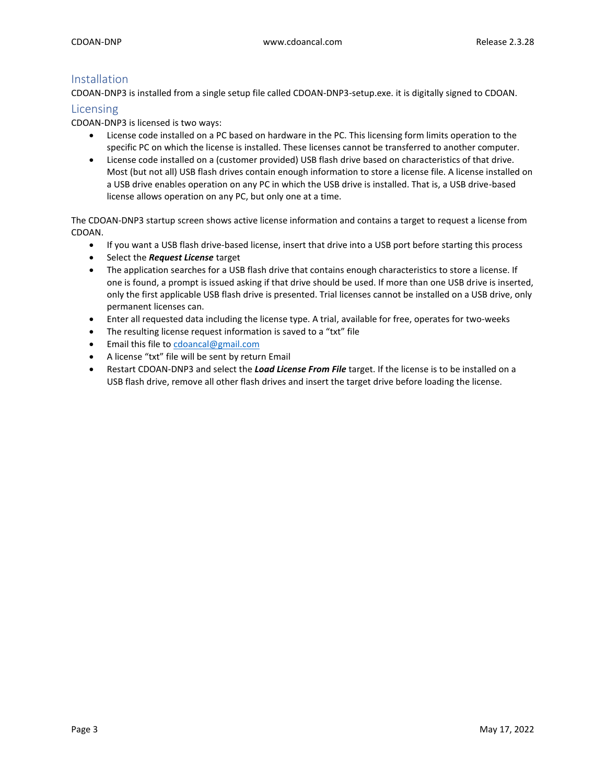## <span id="page-6-0"></span>Installation

CDOAN-DNP3 is installed from a single setup file called CDOAN-DNP3-setup.exe. it is digitally signed to CDOAN.

## <span id="page-6-1"></span>Licensing

CDOAN-DNP3 is licensed is two ways:

- License code installed on a PC based on hardware in the PC. This licensing form limits operation to the specific PC on which the license is installed. These licenses cannot be transferred to another computer.
- License code installed on a (customer provided) USB flash drive based on characteristics of that drive. Most (but not all) USB flash drives contain enough information to store a license file. A license installed on a USB drive enables operation on any PC in which the USB drive is installed. That is, a USB drive-based license allows operation on any PC, but only one at a time.

The CDOAN-DNP3 startup screen shows active license information and contains a target to request a license from CDOAN.

- If you want a USB flash drive-based license, insert that drive into a USB port before starting this process
- Select the *Request License* target
- The application searches for a USB flash drive that contains enough characteristics to store a license. If one is found, a prompt is issued asking if that drive should be used. If more than one USB drive is inserted, only the first applicable USB flash drive is presented. Trial licenses cannot be installed on a USB drive, only permanent licenses can.
- Enter all requested data including the license type. A trial, available for free, operates for two-weeks
- The resulting license request information is saved to a "txt" file
- Email this file to [cdoancal@gmail.com](mailto:cdoancal@gmail.com)
- A license "txt" file will be sent by return Email
- Restart CDOAN-DNP3 and select the *Load License From File* target. If the license is to be installed on a USB flash drive, remove all other flash drives and insert the target drive before loading the license.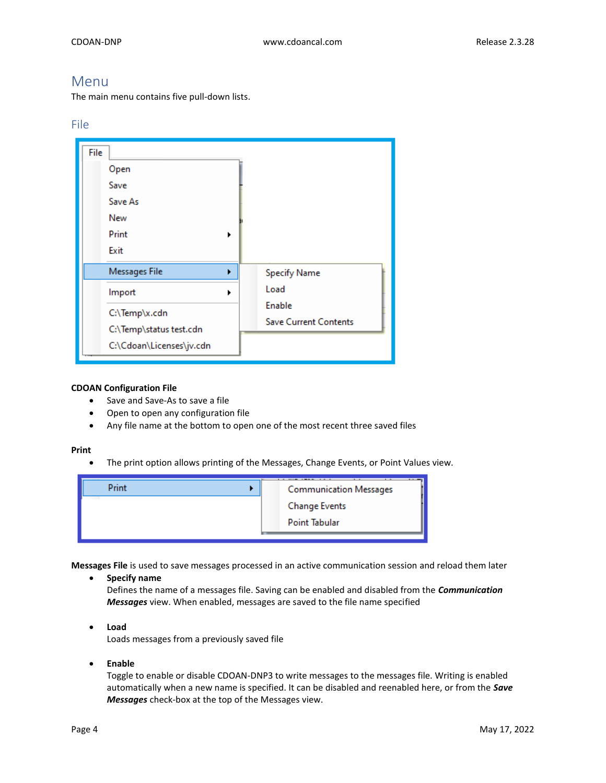## <span id="page-7-0"></span>Menu

The main menu contains five pull-down lists.

## <span id="page-7-1"></span>File

| File<br>Open<br>Save<br>Save As<br>New<br>Print                                | ▶ |                                                |
|--------------------------------------------------------------------------------|---|------------------------------------------------|
| Exit<br>Messages File                                                          | ٠ | <b>Specify Name</b>                            |
| Import<br>C:\Temp\x.cdn<br>C:\Temp\status test.cdn<br>C:\Cdoan\Licenses\jv.cdn | ▶ | Load<br>Enable<br><b>Save Current Contents</b> |

#### **CDOAN Configuration File**

- Save and Save-As to save a file
- Open to open any configuration file
- Any file name at the bottom to open one of the most recent three saved files

#### **Print**

• The print option allows printing of the Messages, Change Events, or Point Values view.

| <b>Change Events</b> |
|----------------------|
| Point Tabular        |

**Messages File** is used to save messages processed in an active communication session and reload them later

• **Specify name** 

Defines the name of a messages file. Saving can be enabled and disabled from the *Communication Messages* view. When enabled, messages are saved to the file name specified

• **Load** 

Loads messages from a previously saved file

• **Enable**

Toggle to enable or disable CDOAN-DNP3 to write messages to the messages file. Writing is enabled automatically when a new name is specified. It can be disabled and reenabled here, or from the *Save Messages* check-box at the top of the Messages view.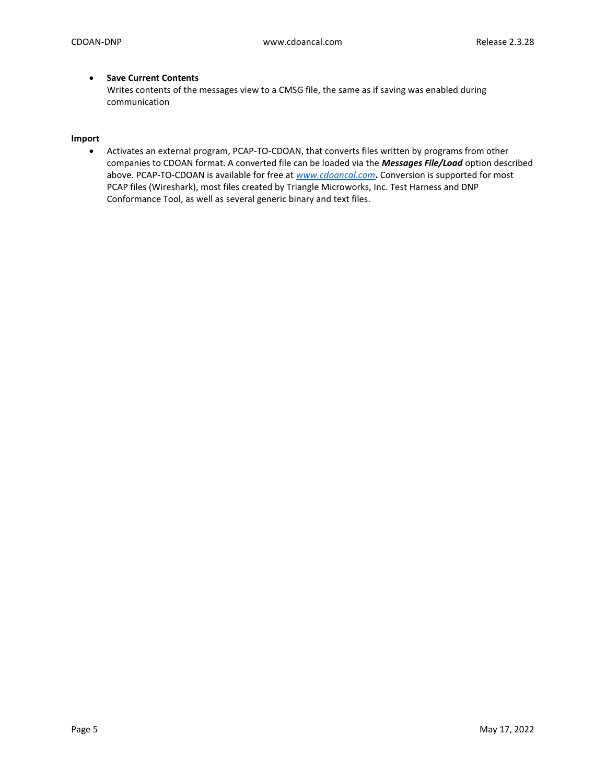## • **Save Current Contents**

Writes contents of the messages view to a CMSG file, the same as if saving was enabled during communication

#### **Import**

• Activates an external program, PCAP-TO-CDOAN, that converts files written by programs from other companies to CDOAN format. A converted file can be loaded via the *Messages File/Load* option described above. PCAP-TO-CDOAN is available for free at *[www.cdoancal.com](http://www.cdoancal.com/)***.** Conversion is supported for most PCAP files (Wireshark), most files created by Triangle Microworks, Inc. Test Harness and DNP Conformance Tool, as well as several generic binary and text files.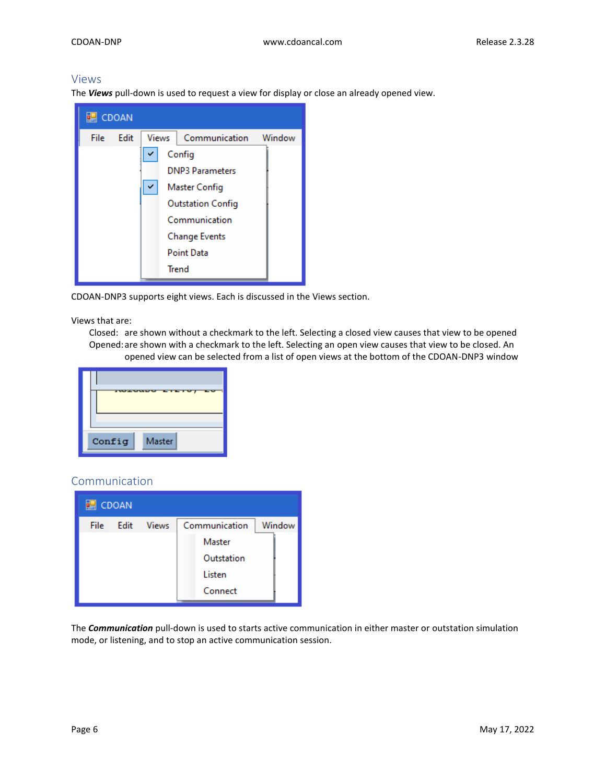## <span id="page-9-0"></span>Views

The *Views* pull-down is used to request a view for display or close an already opened view.



CDOAN-DNP3 supports eight views. Each is discussed in th[e Views](#page-9-0) section.

Views that are:

Closed: are shown without a checkmark to the left. Selecting a closed view causes that view to be opened Opened:are shown with a checkmark to the left. Selecting an open view causes that view to be closed. An opened view can be selected from a list of open views at the bottom of the CDOAN-DNP3 window



## <span id="page-9-1"></span>Communication



The *Communication* pull-down is used to starts active communication in either master or outstation simulation mode, or listening, and to stop an active communication session.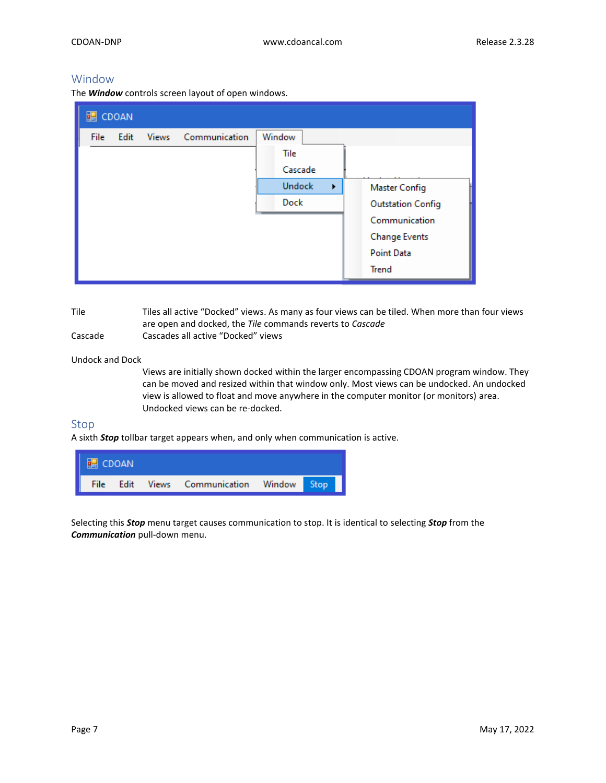## <span id="page-10-0"></span>Window

The *Window* controls screen layout of open windows.

| <b>E</b> CDOAN |  |                          |         |   |                          |
|----------------|--|--------------------------|---------|---|--------------------------|
| File           |  | Edit Views Communication | Window  |   |                          |
|                |  |                          | Tile    |   |                          |
|                |  |                          | Cascade |   |                          |
|                |  |                          | Undock  | r | <b>Master Config</b>     |
|                |  |                          | Dock    |   | <b>Outstation Config</b> |
|                |  |                          |         |   | Communication            |
|                |  |                          |         |   | <b>Change Events</b>     |
|                |  |                          |         |   | Point Data               |
|                |  |                          |         |   | Trend                    |

#### Tile Tiles all active "Docked" views. As many as four views can be tiled. When more than four views are open and docked, the *Tile* commands reverts to *Cascade* Cascade Cascades all active "Docked" views

Undock and Dock

Views are initially shown docked within the larger encompassing CDOAN program window. They can be moved and resized within that window only. Most views can be undocked. An undocked view is allowed to float and move anywhere in the computer monitor (or monitors) area. Undocked views can be re-docked.

## <span id="page-10-1"></span>Stop

A sixth *Stop* tollbar target appears when, and only when communication is active.

| $\parallel$ <b>N</b> CDOAN |  |                                           |  |  |
|----------------------------|--|-------------------------------------------|--|--|
|                            |  | File Edit Views Communication Window Stop |  |  |

Selecting this *Stop* menu target causes communication to stop. It is identical to selecting *Stop* from the *Communication* pull-down menu.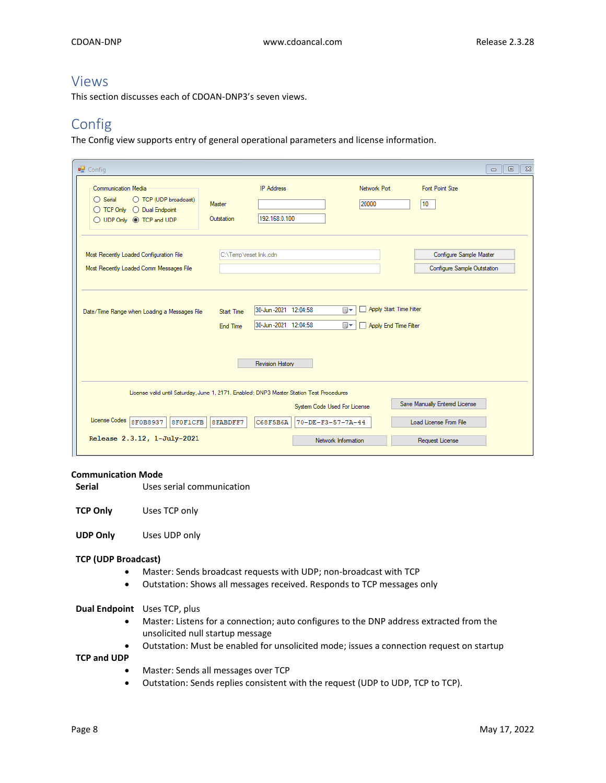# <span id="page-11-0"></span>Views

<span id="page-11-1"></span>This section discusses each of CDOAN-DNP3's seven views.

# Config

The Config view supports entry of general operational parameters and license information.

| P Config                                                                                                                                      |                                      |                                                                                          |                                                              | $\Sigma$<br>$\Box$<br>$\qquad \qquad \Box$             |
|-----------------------------------------------------------------------------------------------------------------------------------------------|--------------------------------------|------------------------------------------------------------------------------------------|--------------------------------------------------------------|--------------------------------------------------------|
| Communication Media<br>◯ TCP (UDP broadcast)<br>$\bigcirc$ Serial<br>$\bigcirc$ TCP Only $\bigcirc$ Dual Endpoint<br>◯ UDP Only ⓒ TCP and UDP | Master<br>Outstation                 | <b>IP Address</b><br>192.168.0.100                                                       | Network Port<br>20000                                        | Font Point Size<br>10                                  |
| Most Recently Loaded Configuration File<br>Most Recently Loaded Comm Messages File                                                            | C:\Temp\reset link.cdn               |                                                                                          |                                                              | Configure Sample Master<br>Configure Sample Outstation |
| Date/Time Range when Loading a Messages File                                                                                                  | <b>Start Time</b><br><b>Fnd Time</b> | 30-Jun-2021 12:04:58<br>30-Jun-2021 12:04:58                                             | Apply Start Time Filter<br>⊞▼<br>圓▼<br>Apply End Time Filter |                                                        |
|                                                                                                                                               |                                      | <b>Revision History</b>                                                                  |                                                              |                                                        |
|                                                                                                                                               |                                      | License valid until Saturday, June 1, 2171. Enabled: DNP3 Master Station Test Procedures | System Code Used For License                                 | Save Manually Entered License                          |
| License Codes<br>8F0B8937<br>8FOFICFB<br>Release 2.3.12, 1-July-2021                                                                          | 8FABDFF7                             | C68F5B6A                                                                                 | 70-DE-F3-57-7A-44<br>Network Information                     | Load License From File<br>Request License              |

#### **Communication Mode**

 **Serial** Uses serial communication

**TCP Only** Uses TCP only

 **UDP Only** Uses UDP only

#### **TCP (UDP Broadcast)**

- Master: Sends broadcast requests with UDP; non-broadcast with TCP
- Outstation: Shows all messages received. Responds to TCP messages only

#### **Dual Endpoint** Uses TCP, plus

- Master: Listens for a connection; auto configures to the DNP address extracted from the unsolicited null startup message
- Outstation: Must be enabled for unsolicited mode; issues a connection request on startup

 **TCP and UDP**

- Master: Sends all messages over TCP
- Outstation: Sends replies consistent with the request (UDP to UDP, TCP to TCP).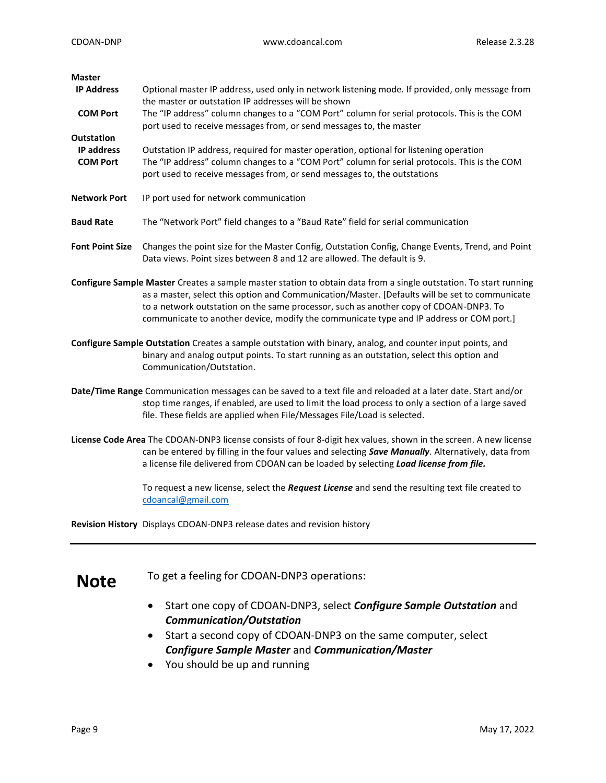| <b>Master</b>                 |                                                                                                                                                                                                                                                                                                                                                                                                         |
|-------------------------------|---------------------------------------------------------------------------------------------------------------------------------------------------------------------------------------------------------------------------------------------------------------------------------------------------------------------------------------------------------------------------------------------------------|
| <b>IP Address</b>             | Optional master IP address, used only in network listening mode. If provided, only message from<br>the master or outstation IP addresses will be shown                                                                                                                                                                                                                                                  |
| <b>COM Port</b>               | The "IP address" column changes to a "COM Port" column for serial protocols. This is the COM<br>port used to receive messages from, or send messages to, the master                                                                                                                                                                                                                                     |
| <b>Outstation</b>             |                                                                                                                                                                                                                                                                                                                                                                                                         |
| IP address<br><b>COM Port</b> | Outstation IP address, required for master operation, optional for listening operation<br>The "IP address" column changes to a "COM Port" column for serial protocols. This is the COM<br>port used to receive messages from, or send messages to, the outstations                                                                                                                                      |
| <b>Network Port</b>           | IP port used for network communication                                                                                                                                                                                                                                                                                                                                                                  |
| <b>Baud Rate</b>              | The "Network Port" field changes to a "Baud Rate" field for serial communication                                                                                                                                                                                                                                                                                                                        |
| <b>Font Point Size</b>        | Changes the point size for the Master Config, Outstation Config, Change Events, Trend, and Point<br>Data views. Point sizes between 8 and 12 are allowed. The default is 9.                                                                                                                                                                                                                             |
|                               | Configure Sample Master Creates a sample master station to obtain data from a single outstation. To start running<br>as a master, select this option and Communication/Master. [Defaults will be set to communicate<br>to a network outstation on the same processor, such as another copy of CDOAN-DNP3. To<br>communicate to another device, modify the communicate type and IP address or COM port.] |
|                               | Configure Sample Outstation Creates a sample outstation with binary, analog, and counter input points, and<br>binary and analog output points. To start running as an outstation, select this option and<br>Communication/Outstation.                                                                                                                                                                   |
|                               | Date/Time Range Communication messages can be saved to a text file and reloaded at a later date. Start and/or<br>stop time ranges, if enabled, are used to limit the load process to only a section of a large saved<br>file. These fields are applied when File/Messages File/Load is selected.                                                                                                        |
|                               | License Code Area The CDOAN-DNP3 license consists of four 8-digit hex values, shown in the screen. A new license<br>can be entered by filling in the four values and selecting Save Manually. Alternatively, data from<br>a license file delivered from CDOAN can be loaded by selecting Load license from file.                                                                                        |
|                               | To request a new license, select the Request License and send the resulting text file created to                                                                                                                                                                                                                                                                                                        |

**Revision History** Displays CDOAN-DNP3 release dates and revision history

[cdoancal@gmail.com](mailto:cdoancal@gmail.com)

**Note** To get a feeling for CDOAN-DNP3 operations:

- Start one copy of CDOAN-DNP3, select *Configure Sample Outstation* and *Communication/Outstation*
- Start a second copy of CDOAN-DNP3 on the same computer, select *Configure Sample Master* and *Communication/Master*
- You should be up and running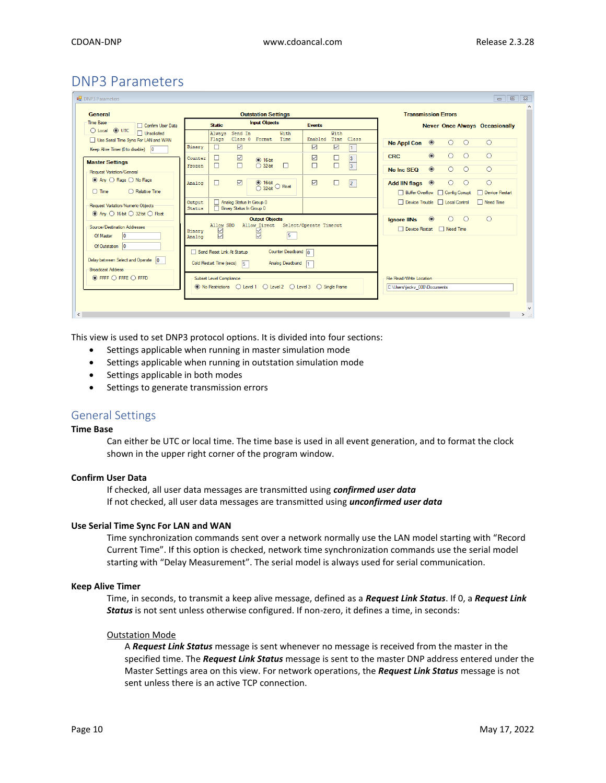# <span id="page-13-0"></span>DNP3 Parameters

| DNP3 Parameters                                                                 |                                                                                                        |                            |                          |                                         |                    |               |              |                |                                |           |                            |            | $\Box$<br>$\qquad \qquad \Box$        |
|---------------------------------------------------------------------------------|--------------------------------------------------------------------------------------------------------|----------------------------|--------------------------|-----------------------------------------|--------------------|---------------|--------------|----------------|--------------------------------|-----------|----------------------------|------------|---------------------------------------|
| General                                                                         |                                                                                                        |                            |                          | <b>Outstation Settings</b>              |                    |               |              |                |                                |           | <b>Transmission Errors</b> |            |                                       |
| <b>Time Base</b>                                                                |                                                                                                        |                            |                          | <b>Input Objects</b>                    |                    |               |              |                |                                |           |                            |            |                                       |
| Confirm User Data<br>○ Local ● UTC                                              |                                                                                                        | <b>Static</b>              |                          |                                         |                    | <b>Fvents</b> |              |                |                                |           |                            |            | <b>Never Once Always Occasionally</b> |
| $\Box$ Unsolicited<br>Use Serial Time Sync For LAN and WAN                      |                                                                                                        | Always<br>Flags            | Send In                  | Class 0 Format                          | With<br>Time       | Enabled       | With<br>Time | Class          |                                |           |                            |            |                                       |
|                                                                                 | Binary                                                                                                 | $\Box$                     | ☑                        |                                         |                    | ☑             | ☑            | 1              | <b>No Appl Con</b>             | $\bullet$ | $\circ$                    | $\circ$    | $\circ$                               |
| Keep Alive Timer (0 to disable)   0                                             |                                                                                                        |                            |                          |                                         |                    |               |              |                | <b>CRC</b>                     | $\odot$   | $\circ$                    | $\circ$    | $\circ$                               |
| <b>Master Settings</b>                                                          | Counter                                                                                                | $\Box$                     | ☑                        | <b>◎ 16-bit</b>                         |                    | ☑             | $\Box$       | $\sqrt{3}$     |                                |           |                            |            |                                       |
| Request Variation/General                                                       | Frozen                                                                                                 | П                          | $\Box$                   | ◯ 32-bit                                | $\Box$             | $\Box$        | $\Box$       | $\overline{3}$ | <b>No Inc SEQ</b>              | $\odot$   | $\circ$                    | $\circ$    | $\circ$                               |
| to Any ○ Flags ○ No Flags                                                       |                                                                                                        |                            |                          |                                         |                    |               |              |                |                                |           |                            |            |                                       |
|                                                                                 | Analog                                                                                                 | $\Box$                     | ☑                        | <sup>●</sup> 16-bit<br>○ 32-bit ○ Float |                    | ☑             |              | $ 2\rangle$    | Add IIN flags <sup>O</sup>     |           | $\circ$                    | $\circ$    | $\bigcirc$                            |
| $\bigcirc$ Relative Time<br>$\bigcirc$ Time                                     |                                                                                                        |                            |                          |                                         |                    |               |              |                | Buffer Overflow Config Compt   |           |                            |            | Device Restart                        |
|                                                                                 | Output                                                                                                 |                            | Analog Status In Group 0 |                                         |                    |               |              |                | Device Trouble   Local Control |           |                            |            | Need Time                             |
| Request Variation/Numeric Objects<br><sup>●</sup> Any ○ 16-bit ○ 32-bit ○ Float | Status                                                                                                 |                            | Binary Status In Group 0 |                                         |                    |               |              |                |                                |           |                            |            |                                       |
|                                                                                 |                                                                                                        |                            |                          | <b>Output Objects</b>                   |                    |               |              |                | <b>Ignore IINs</b>             | $\odot$   | $\bigcirc$                 | $\bigcirc$ | $\bigcirc$                            |
| Source/Destination Addresses                                                    | Allow SBO<br>Allow Direct<br>Select/Operate Timeout<br>Device Restart<br>Need Time                     |                            |                          |                                         |                    |               |              |                |                                |           |                            |            |                                       |
| Of Master<br>$\mathbf{I}$                                                       | Binary<br>Analog                                                                                       | $\overline{\mathbb{Z}}$    |                          | $\overline{\mathbb{Z}}$                 | 5                  |               |              |                |                                |           |                            |            |                                       |
|                                                                                 |                                                                                                        |                            |                          |                                         |                    |               |              |                |                                |           |                            |            |                                       |
| Of Outstation 0                                                                 |                                                                                                        | Send Reset Link At Startup |                          |                                         | Counter Deadband 0 |               |              |                |                                |           |                            |            |                                       |
| Delay between Select and Operate 0                                              |                                                                                                        |                            |                          |                                         |                    |               |              |                |                                |           |                            |            |                                       |
| <b>Broadcast Address</b>                                                        |                                                                                                        | Cold Restart Time (secs)   | 5                        |                                         | Analog Deadband    | $\vert$ 1     |              |                |                                |           |                            |            |                                       |
| $\circledcirc$ FFFF $\bigcirc$ FFFE $\bigcirc$ FFFD                             |                                                                                                        |                            |                          |                                         |                    |               |              |                |                                |           |                            |            |                                       |
|                                                                                 | Subset Level Compliance<br>File Read/Write Location                                                    |                            |                          |                                         |                    |               |              |                |                                |           |                            |            |                                       |
|                                                                                 | ◉ No Restrictions (C) Level 1 (C) Level 2 (C) Level 3 (C) Single Frame<br>C:\Users\jackv_000\Documents |                            |                          |                                         |                    |               |              |                |                                |           |                            |            |                                       |
|                                                                                 |                                                                                                        |                            |                          |                                         |                    |               |              |                |                                |           |                            |            |                                       |
|                                                                                 |                                                                                                        |                            |                          |                                         |                    |               |              |                |                                |           |                            |            |                                       |
|                                                                                 |                                                                                                        |                            |                          |                                         |                    |               |              |                |                                |           |                            |            |                                       |

This view is used to set DNP3 protocol options. It is divided into four sections:

- Settings applicable when running in master simulation mode
- Settings applicable when running in outstation simulation mode
- Settings applicable in both modes
- Settings to generate transmission errors

## <span id="page-13-1"></span>General Settings

#### **Time Base**

Can either be UTC or local time. The time base is used in all event generation, and to format the clock shown in the upper right corner of the program window.

#### **Confirm User Data**

If checked, all user data messages are transmitted using *confirmed user data* If not checked, all user data messages are transmitted using *unconfirmed user data* 

#### **Use Serial Time Sync For LAN and WAN**

Time synchronization commands sent over a network normally use the LAN model starting with "Record Current Time". If this option is checked, network time synchronization commands use the serial model starting with "Delay Measurement". The serial model is always used for serial communication.

#### **Keep Alive Timer**

Time, in seconds, to transmit a keep alive message, defined as a *Request Link Status*. If 0, a *Request Link Status* is not sent unless otherwise configured. If non-zero, it defines a time, in seconds:

#### Outstation Mode

A *Request Link Status* message is sent whenever no message is received from the master in the specified time. The *Request Link Status* message is sent to the master DNP address entered under the Master Settings area on this view. For network operations, the *Request Link Status* message is not sent unless there is an active TCP connection.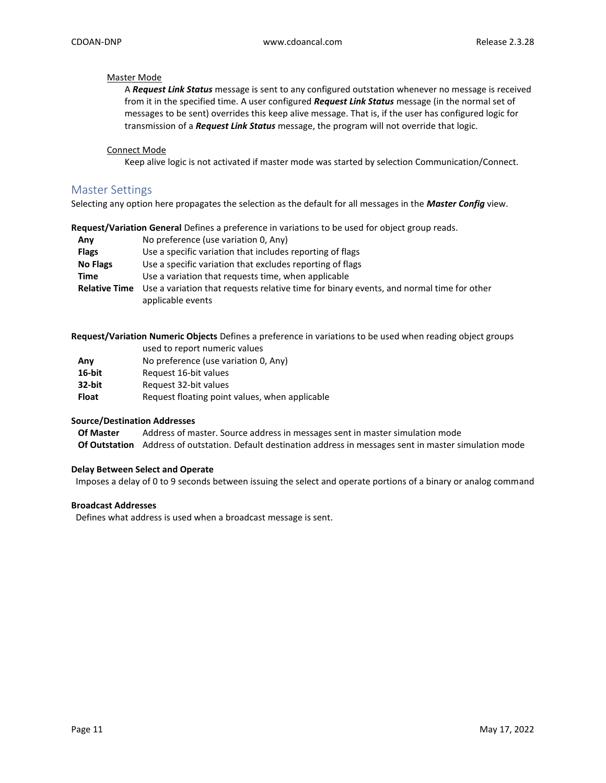#### Master Mode

A *Request Link Status* message is sent to any configured outstation whenever no message is received from it in the specified time. A user configured *Request Link Status* message (in the normal set of messages to be sent) overrides this keep alive message. That is, if the user has configured logic for transmission of a *Request Link Status* message, the program will not override that logic.

#### Connect Mode

Keep alive logic is not activated if master mode was started by selection Communication/Connect.

## <span id="page-14-0"></span>Master Settings

Selecting any option here propagates the selection as the default for all messages in the *Master Config* view.

| Anv                  | No preference (use variation 0, Any)                                                     |
|----------------------|------------------------------------------------------------------------------------------|
| <b>Flags</b>         | Use a specific variation that includes reporting of flags                                |
| <b>No Flags</b>      | Use a specific variation that excludes reporting of flags                                |
| Time                 | Use a variation that requests time, when applicable                                      |
| <b>Relative Time</b> | Use a variation that requests relative time for binary events, and normal time for other |
|                      | applicable events                                                                        |

**Request/Variation Numeric Objects** Defines a preference in variations to be used when reading object groups used to report numeric values

|              | used to report numeric values                  |
|--------------|------------------------------------------------|
| Any          | No preference (use variation 0, Any)           |
| $16$ -bit    | Request 16-bit values                          |
| 32-bit       | Request 32-bit values                          |
| <b>Float</b> | Request floating point values, when applicable |

#### **Source/Destination Addresses**

 **Of Master** Address of master. Source address in messages sent in master simulation mode  **Of Outstation** Address of outstation. Default destination address in messages sent in master simulation mode

#### **Delay Between Select and Operate**

Imposes a delay of 0 to 9 seconds between issuing the select and operate portions of a binary or analog command

## **Broadcast Addresses**

Defines what address is used when a broadcast message is sent.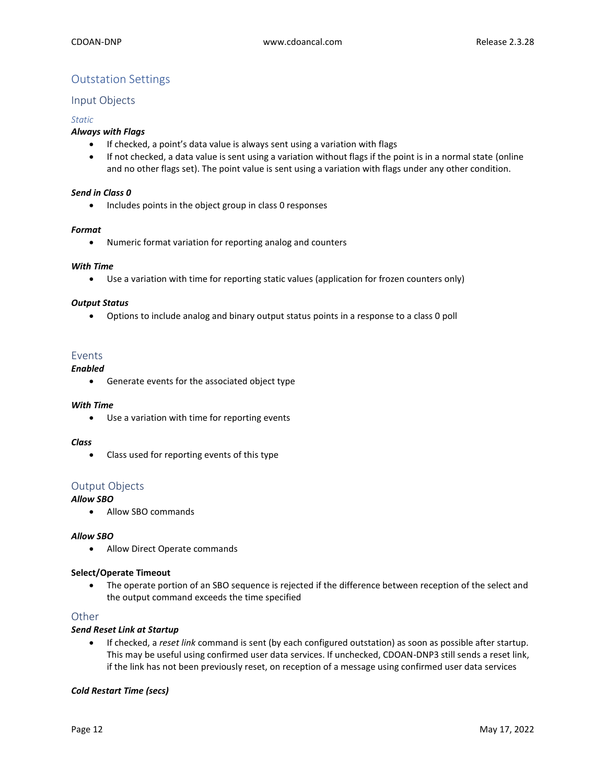## <span id="page-15-0"></span>Outstation Settings

## Input Objects

#### *Static*

## *Always with Flags*

- If checked, a point's data value is always sent using a variation with flags
- If not checked, a data value is sent using a variation without flags if the point is in a normal state (online and no other flags set). The point value is sent using a variation with flags under any other condition.

#### *Send in Class 0*

• Includes points in the object group in class 0 responses

#### *Format*

• Numeric format variation for reporting analog and counters

#### *With Time*

• Use a variation with time for reporting static values (application for frozen counters only)

#### *Output Status*

• Options to include analog and binary output status points in a response to a class 0 poll

#### Events

#### *Enabled*

• Generate events for the associated object type

#### *With Time*

• Use a variation with time for reporting events

#### *Class*

• Class used for reporting events of this type

## Output Objects

#### *Allow SBO*

• Allow SBO commands

#### *Allow SBO*

• Allow Direct Operate commands

#### **Select/Operate Timeout**

• The operate portion of an SBO sequence is rejected if the difference between reception of the select and the output command exceeds the time specified

## **Other**

#### *Send Reset Link at Startup*

• If checked, a *reset link* command is sent (by each configured outstation) as soon as possible after startup. This may be useful using confirmed user data services. If unchecked, CDOAN-DNP3 still sends a reset link, if the link has not been previously reset, on reception of a message using confirmed user data services

#### *Cold Restart Time (secs)*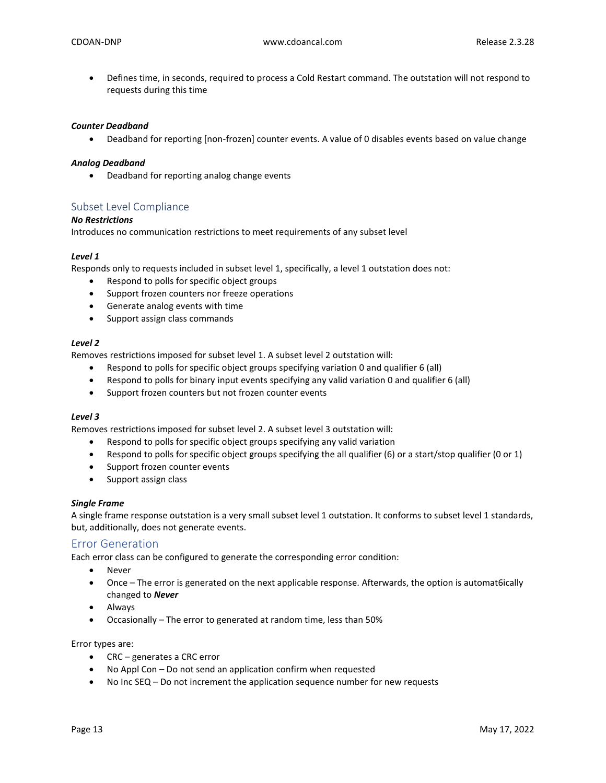• Defines time, in seconds, required to process a Cold Restart command. The outstation will not respond to requests during this time

#### *Counter Deadband*

• Deadband for reporting [non-frozen] counter events. A value of 0 disables events based on value change

#### *Analog Deadband*

• Deadband for reporting analog change events

## Subset Level Compliance

#### *No Restrictions*

Introduces no communication restrictions to meet requirements of any subset level

#### *Level 1*

Responds only to requests included in subset level 1, specifically, a level 1 outstation does not:

- Respond to polls for specific object groups
- Support frozen counters nor freeze operations
- Generate analog events with time
- Support assign class commands

#### *Level 2*

Removes restrictions imposed for subset level 1. A subset level 2 outstation will:

- Respond to polls for specific object groups specifying variation 0 and qualifier 6 (all)
- Respond to polls for binary input events specifying any valid variation 0 and qualifier 6 (all)
- Support frozen counters but not frozen counter events

#### *Level 3*

Removes restrictions imposed for subset level 2. A subset level 3 outstation will:

- Respond to polls for specific object groups specifying any valid variation
- Respond to polls for specific object groups specifying the all qualifier (6) or a start/stop qualifier (0 or 1)
- Support frozen counter events
- Support assign class

#### *Single Frame*

A single frame response outstation is a very small subset level 1 outstation. It conforms to subset level 1 standards, but, additionally, does not generate events.

## <span id="page-16-0"></span>Error Generation

Each error class can be configured to generate the corresponding error condition:

- Never
- Once The error is generated on the next applicable response. Afterwards, the option is automat6ically changed to *Never*
- Always
- Occasionally The error to generated at random time, less than 50%

Error types are:

- CRC generates a CRC error
- No Appl Con Do not send an application confirm when requested
- No Inc SEQ Do not increment the application sequence number for new requests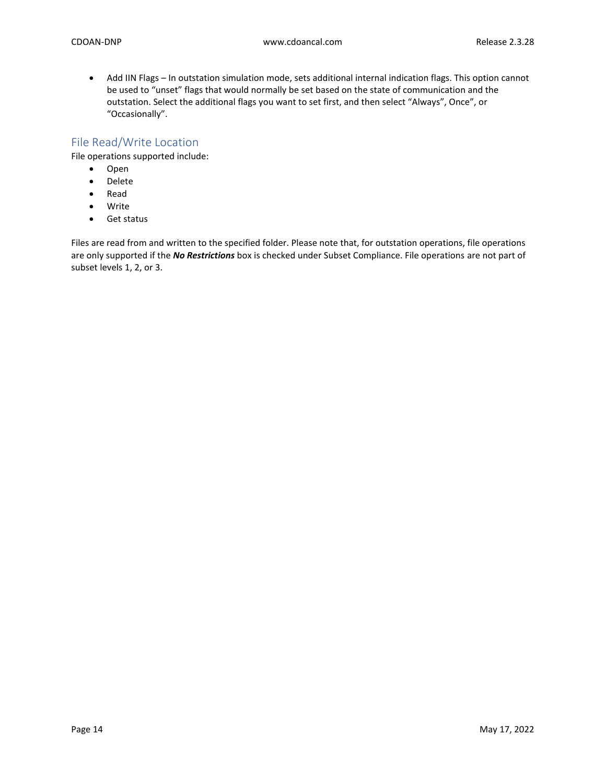• Add IIN Flags – In outstation simulation mode, sets additional internal indication flags. This option cannot be used to "unset" flags that would normally be set based on the state of communication and the outstation. Select the additional flags you want to set first, and then select "Always", Once", or "Occasionally".

## <span id="page-17-0"></span>File Read/Write Location

File operations supported include:

- Open
- Delete
- Read
- Write
- Get status

Files are read from and written to the specified folder. Please note that, for outstation operations, file operations are only supported if the *No Restrictions* box is checked under Subset Compliance. File operations are not part of subset levels 1, 2, or 3.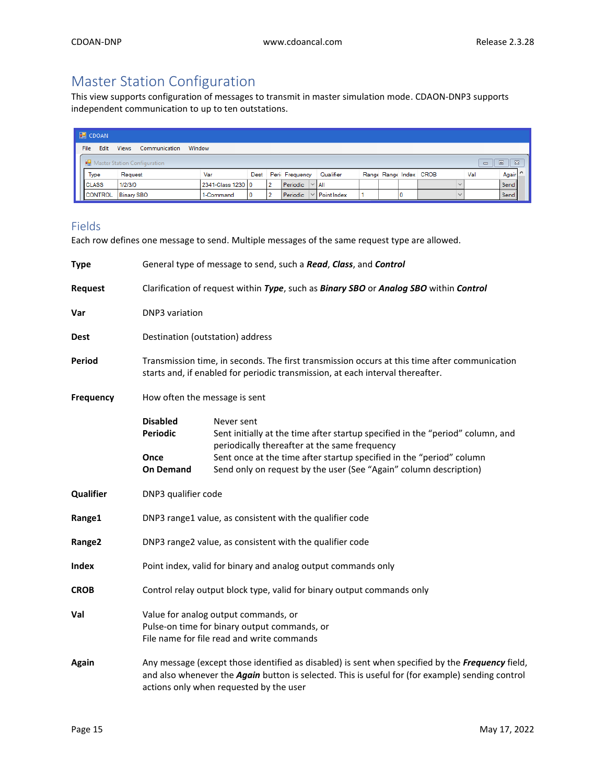# <span id="page-18-0"></span>Master Station Configuration

This view supports configuration of messages to transmit in master simulation mode. CDAON-DNP3 supports independent communication to up to ten outstations.

| <b>D</b> CDOAN                                                         |                               |                   |             |                |                |                    |  |  |  |                        |              |             |
|------------------------------------------------------------------------|-------------------------------|-------------------|-------------|----------------|----------------|--------------------|--|--|--|------------------------|--------------|-------------|
| File<br>Edit                                                           | Communication<br><b>Views</b> | Window            |             |                |                |                    |  |  |  |                        |              |             |
| <b>RE</b> Master Station Configuration<br>$\Sigma$<br>$\Box$<br>$\Box$ |                               |                   |             |                |                |                    |  |  |  |                        |              |             |
| Type                                                                   | Request                       | Var               | <b>Dest</b> |                | Peri Frequency | Qualifier          |  |  |  | Range Range Index CROB | Val          | <b>Agai</b> |
| <b>CLASS</b>                                                           | 1/2/3/0                       | 2341-Class 1230 0 |             | $\overline{2}$ | Periodic       | $\vee$ All         |  |  |  |                        | $\checkmark$ | Send        |
| CONTROL                                                                | <b>Binary SBO</b>             | 1-Command         | 0           |                | Periodic       | $\vee$ Point Index |  |  |  |                        | $\checkmark$ | Send        |

## <span id="page-18-1"></span>Fields

Each row defines one message to send. Multiple messages of the same request type are allowed.

| <b>Type</b>      |                                                                | General type of message to send, such a Read, Class, and Control                                                                                                                                                                                                                           |  |  |  |  |  |  |  |
|------------------|----------------------------------------------------------------|--------------------------------------------------------------------------------------------------------------------------------------------------------------------------------------------------------------------------------------------------------------------------------------------|--|--|--|--|--|--|--|
| <b>Request</b>   |                                                                | Clarification of request within Type, such as Binary SBO or Analog SBO within Control                                                                                                                                                                                                      |  |  |  |  |  |  |  |
| Var              | DNP3 variation                                                 |                                                                                                                                                                                                                                                                                            |  |  |  |  |  |  |  |
| <b>Dest</b>      | Destination (outstation) address                               |                                                                                                                                                                                                                                                                                            |  |  |  |  |  |  |  |
| <b>Period</b>    |                                                                | Transmission time, in seconds. The first transmission occurs at this time after communication<br>starts and, if enabled for periodic transmission, at each interval thereafter.                                                                                                            |  |  |  |  |  |  |  |
| <b>Frequency</b> | How often the message is sent                                  |                                                                                                                                                                                                                                                                                            |  |  |  |  |  |  |  |
|                  | <b>Disabled</b><br><b>Periodic</b><br>Once<br><b>On Demand</b> | Never sent<br>Sent initially at the time after startup specified in the "period" column, and<br>periodically thereafter at the same frequency<br>Sent once at the time after startup specified in the "period" column<br>Send only on request by the user (See "Again" column description) |  |  |  |  |  |  |  |
| Qualifier        | DNP3 qualifier code                                            |                                                                                                                                                                                                                                                                                            |  |  |  |  |  |  |  |
| Range1           |                                                                | DNP3 range1 value, as consistent with the qualifier code                                                                                                                                                                                                                                   |  |  |  |  |  |  |  |
| Range2           |                                                                | DNP3 range2 value, as consistent with the qualifier code                                                                                                                                                                                                                                   |  |  |  |  |  |  |  |
| Index            |                                                                | Point index, valid for binary and analog output commands only                                                                                                                                                                                                                              |  |  |  |  |  |  |  |
| <b>CROB</b>      |                                                                | Control relay output block type, valid for binary output commands only                                                                                                                                                                                                                     |  |  |  |  |  |  |  |
| Val              |                                                                | Value for analog output commands, or<br>Pulse-on time for binary output commands, or<br>File name for file read and write commands                                                                                                                                                         |  |  |  |  |  |  |  |
| Again            |                                                                | Any message (except those identified as disabled) is sent when specified by the Frequency field,<br>and also whenever the <i>Again</i> button is selected. This is useful for (for example) sending control<br>actions only when requested by the user                                     |  |  |  |  |  |  |  |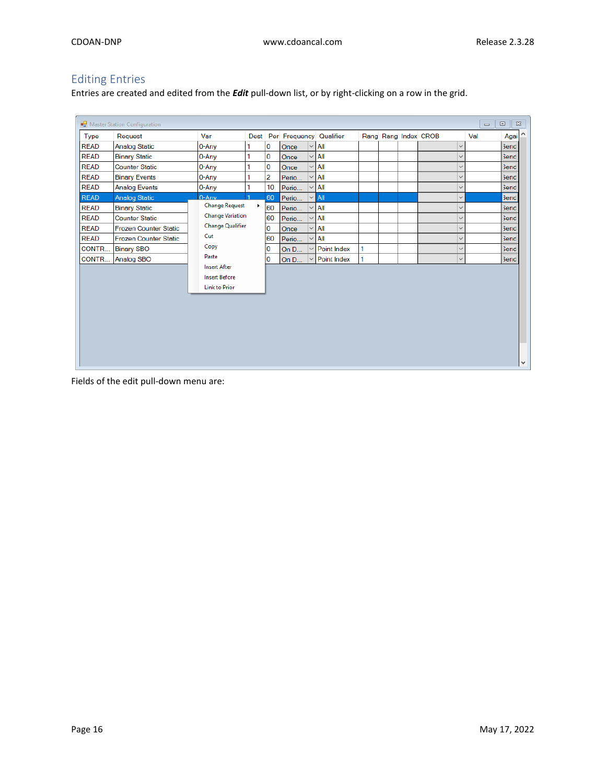# <span id="page-19-0"></span>Editing Entries

Entries are created and edited from the *Edit* pull-down list, or by right-clicking on a row in the grid.

|             | <b>P</b> Master Station Configuration |                         |    |                  |                              |                     |             |   |  |                      |              | $\Box$<br>$\equiv$ | $\Sigma$          |
|-------------|---------------------------------------|-------------------------|----|------------------|------------------------------|---------------------|-------------|---|--|----------------------|--------------|--------------------|-------------------|
| Type        | Request                               | Var                     |    |                  | Dest Per Frequency Qualifier |                     |             |   |  | Rang Rang Index CROB |              | Val                | Agai <sup>^</sup> |
| <b>READ</b> | <b>Analog Static</b>                  | 0-Any                   | 1  | 0                | Once                         | All<br>$\checkmark$ |             |   |  |                      | $\checkmark$ |                    | <b>Send</b>       |
| <b>READ</b> | <b>Binary Static</b>                  | 0-Any                   | 1  | 0                | Once                         | All<br>$\checkmark$ |             |   |  |                      | $\checkmark$ |                    | <b>Send</b>       |
| <b>READ</b> | <b>Counter Static</b>                 | 0-Any                   | 1  | 0                | Once                         | All                 |             |   |  |                      | $\checkmark$ |                    | <b>Send</b>       |
| <b>READ</b> | <b>Binary Events</b>                  | 0-Any                   | 1  | 2                | Perio                        | All                 |             |   |  |                      | $\checkmark$ |                    | <b>Send</b>       |
| <b>READ</b> | <b>Analog Events</b>                  | 0-Any                   |    | 10 <sup>10</sup> | Perio                        | All                 |             |   |  |                      | $\checkmark$ |                    | <b>Send</b>       |
| <b>READ</b> | <b>Analog Static</b>                  | $0 - Anv$               | H. | 60               | Perio                        | $\vee$ All          |             |   |  |                      | $\checkmark$ |                    | send              |
| <b>READ</b> | <b>Binary Static</b>                  | <b>Change Request</b>   | ¥. | 60               | Perio                        | All                 |             |   |  |                      | $\checkmark$ |                    | <b>Send</b>       |
| <b>READ</b> | <b>Counter Static</b>                 | <b>Change Variation</b> |    | 60               | Perio                        | All                 |             |   |  |                      | $\checkmark$ |                    | <b>Send</b>       |
| <b>READ</b> | <b>Frozen Counter Static</b>          | <b>Change Qualifier</b> |    | lo.              | Once                         | All                 |             |   |  |                      | $\checkmark$ |                    | <b>Send</b>       |
| <b>READ</b> | <b>Frozen Counter Static</b>          | Cut                     |    | 60               | Perio                        | All                 |             |   |  |                      | $\checkmark$ |                    | <b>Send</b>       |
| CONTR       | <b>Binary SBO</b>                     | Copy                    |    | 10               | On $D$                       |                     | Point Index | 1 |  |                      | $\checkmark$ |                    | <b>Send</b>       |
| CONTR       | Analog SBO                            | Paste                   |    | lo               | On D                         |                     | Point Index | 1 |  |                      | $\checkmark$ |                    | <b>Send</b>       |
|             |                                       | <b>Insert After</b>     |    |                  |                              |                     |             |   |  |                      |              |                    |                   |
|             |                                       | <b>Insert Before</b>    |    |                  |                              |                     |             |   |  |                      |              |                    |                   |
|             |                                       | <b>Link to Prior</b>    |    |                  |                              |                     |             |   |  |                      |              |                    |                   |
|             |                                       |                         |    |                  |                              |                     |             |   |  |                      |              |                    |                   |
|             |                                       |                         |    |                  |                              |                     |             |   |  |                      |              |                    |                   |
|             |                                       |                         |    |                  |                              |                     |             |   |  |                      |              |                    |                   |
|             |                                       |                         |    |                  |                              |                     |             |   |  |                      |              |                    |                   |
|             |                                       |                         |    |                  |                              |                     |             |   |  |                      |              |                    |                   |
|             |                                       |                         |    |                  |                              |                     |             |   |  |                      |              |                    |                   |
|             |                                       |                         |    |                  |                              |                     |             |   |  |                      |              |                    | $\mathbf{v}$      |

Fields of the edit pull-down menu are: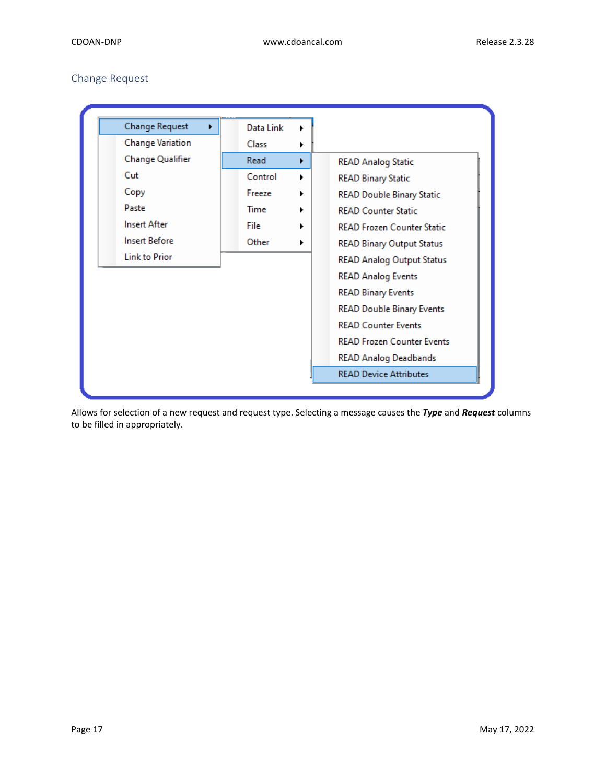## Change Request



Allows for selection of a new request and request type. Selecting a message causes the *Type* and *Request* columns to be filled in appropriately.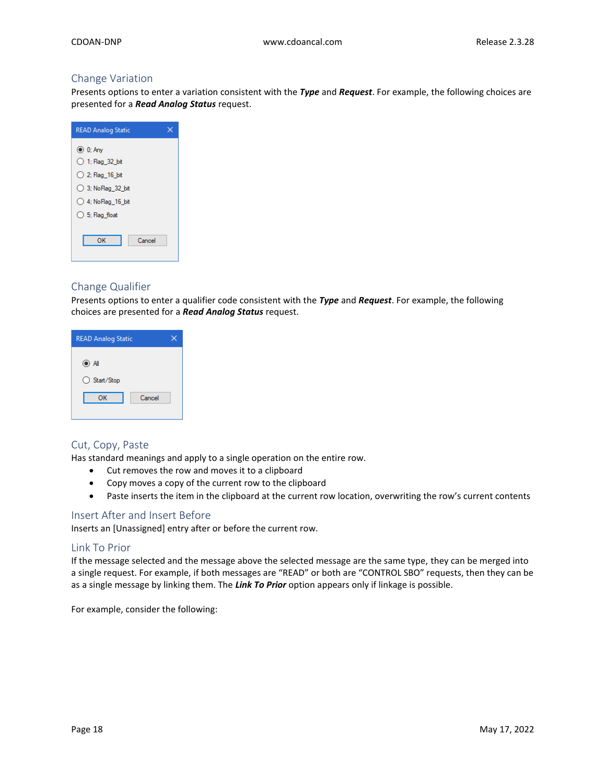## Change Variation

Presents options to enter a variation consistent with the *Type* and *Request*. For example, the following choices are presented for a *Read Analog Status* request.

| <b>READ Analog Static</b>   |
|-----------------------------|
| $\odot$ 0; Any              |
| ◯ 1; Flag 32 bit            |
| $\bigcirc$ 2; Flag 16 bit   |
| ◯ 3; NoFlag_32_bit          |
| $\bigcirc$ 4; NoFlag 16 bit |
| $\bigcirc$ 5; Flag float    |
| OK<br>Cancel                |

## Change Qualifier

Presents options to enter a qualifier code consistent with the *Type* and *Request*. For example, the following choices are presented for a *Read Analog Status* request.

| <b>READ Analog Static</b> |  |
|---------------------------|--|
| $\odot$ All               |  |
| ◯ Start/Stop              |  |
| OK<br>Cancel              |  |
|                           |  |

## Cut, Copy, Paste

Has standard meanings and apply to a single operation on the entire row.

- Cut removes the row and moves it to a clipboard
- Copy moves a copy of the current row to the clipboard
- Paste inserts the item in the clipboard at the current row location, overwriting the row's current contents

## Insert After and Insert Before

Inserts an [Unassigned] entry after or before the current row.

#### Link To Prior

If the message selected and the message above the selected message are the same type, they can be merged into a single request. For example, if both messages are "READ" or both are "CONTROL SBO" requests, then they can be as a single message by linking them. The *Link To Prior* option appears only if linkage is possible.

For example, consider the following: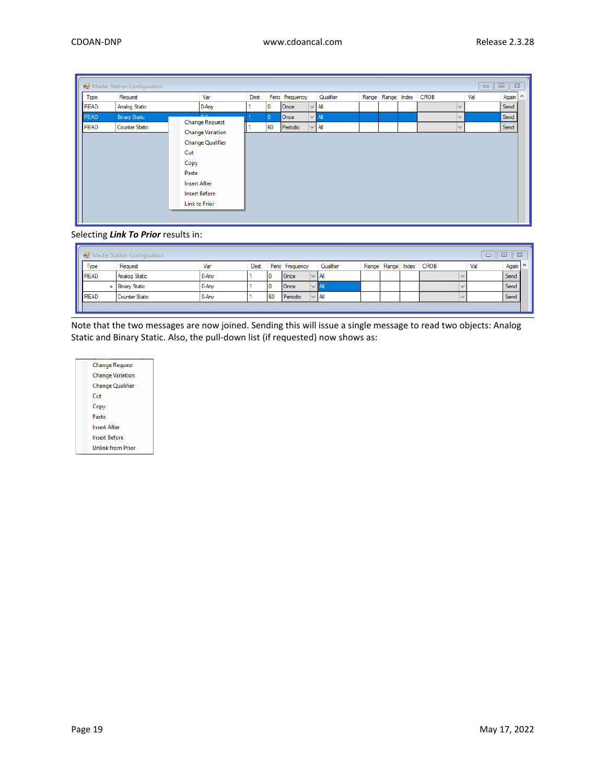|             | <b>P</b> Master Station Configuration              |                     |                       |      |             |                 |              |            |                    |              | $\qquad \qquad \Box$ | $\Sigma$<br>$\Box$ |  |
|-------------|----------------------------------------------------|---------------------|-----------------------|------|-------------|-----------------|--------------|------------|--------------------|--------------|----------------------|--------------------|--|
| Type        | Request                                            |                     | Var                   | Dest |             | Perio Frequency |              | Qualifier  | Range Range: Index | <b>CROB</b>  | Val                  | Again<br>$\wedge$  |  |
| <b>READ</b> | <b>Analog Static</b>                               |                     | 0-Any                 |      | $\mathbf 0$ | Once            | $\checkmark$ | All        |                    | $\checkmark$ |                      | Send               |  |
| <b>READ</b> | <b>Binary Static</b>                               |                     |                       |      | $\Omega$    | Once            |              | $\vee$ All |                    | $\vee$       |                      | Send               |  |
| <b>READ</b> | Counter Static                                     |                     | <b>Change Request</b> |      | 60          | Periodic        | $\checkmark$ | All        |                    | $\checkmark$ |                      | Send               |  |
|             | <b>Change Variation</b><br><b>Change Qualifier</b> |                     |                       |      |             |                 |              |            |                    |              |                      |                    |  |
|             | Cut                                                |                     |                       |      |             |                 |              |            |                    |              |                      |                    |  |
|             | Copy                                               |                     |                       |      |             |                 |              |            |                    |              |                      |                    |  |
|             | Paste                                              |                     |                       |      |             |                 |              |            |                    |              |                      |                    |  |
|             |                                                    | <b>Insert After</b> |                       |      |             |                 |              |            |                    |              |                      |                    |  |
|             |                                                    |                     | <b>Insert Before</b>  |      |             |                 |              |            |                    |              |                      |                    |  |
|             |                                                    |                     | <b>Link to Prior</b>  |      |             |                 |              |            |                    |              |                      |                    |  |
|             |                                                    |                     |                       |      |             |                 |              |            |                    |              |                      |                    |  |

## Selecting *Link To Prior* results in:

|              | laster Station Configuration |       |      |    |                 |              |              |  |                        | $\qquad \qquad \Box$ | $\Sigma$<br>$\Box$ |  |
|--------------|------------------------------|-------|------|----|-----------------|--------------|--------------|--|------------------------|----------------------|--------------------|--|
|              | Request                      | Var   | Dest |    | Perio Frequency |              | Qualifier    |  | Range Range Index CROB | Val                  | Again              |  |
|              | Analog Static                | 0-Any |      | O  | Once            | $\vee$   All |              |  |                        |                      | Send               |  |
| Type<br>READ | + Binary Static              | 0-Any |      |    | Once            |              | $\vee$   All |  |                        |                      | Send               |  |
| READ         | <b>Counter Static</b>        | 0-Any |      | 60 | Periodic        |              | All          |  |                        |                      | Send               |  |
|              |                              |       |      |    |                 |              |              |  |                        |                      |                    |  |

Note that the two messages are now joined. Sending this will issue a single message to read two objects: Analog Static and Binary Static. Also, the pull-down list (if requested) now shows as:

| <b>Change Request</b>    |  |
|--------------------------|--|
| <b>Change Variation</b>  |  |
| <b>Change Qualifier</b>  |  |
| Cut                      |  |
| Copy                     |  |
| Paste                    |  |
| <b>Insert After</b>      |  |
| <b>Insert Before</b>     |  |
| <b>Unlink from Prior</b> |  |
|                          |  |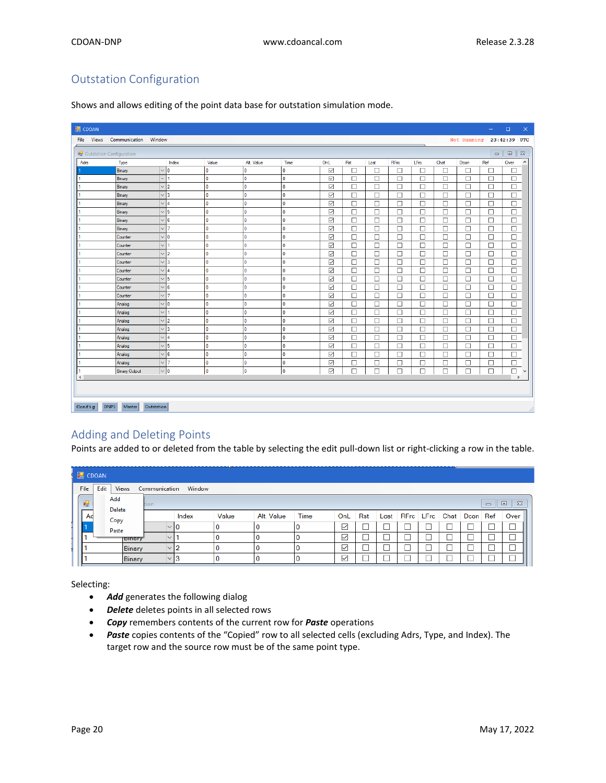# <span id="page-23-0"></span>Outstation Configuration

Shows and allows editing of the point data base for outstation simulation mode.

| <b>D</b> CDOAN       | $\Box$<br>$\times$<br>-                                                                                                                   |                    |             |                               |         |                                 |        |        |        |             |             |             |                      |                    |    |
|----------------------|-------------------------------------------------------------------------------------------------------------------------------------------|--------------------|-------------|-------------------------------|---------|---------------------------------|--------|--------|--------|-------------|-------------|-------------|----------------------|--------------------|----|
| <b>Views</b><br>File | Communication<br>Window                                                                                                                   |                    |             |                               |         |                                 |        |        |        |             |             | Not Running |                      | 23:42:39 UTC       |    |
|                      | <b>B</b> Outstation Configuration                                                                                                         |                    |             |                               |         |                                 |        |        |        |             |             |             | $\qquad \qquad \Box$ | $\Sigma$<br>$\Box$ |    |
| Adrs                 | Type                                                                                                                                      | Index              | Value       | Alt. Value                    | Time    | OnL                             | Rst    | Lost   | RFrc   | LFrc        | Chat        | Dcon        | Ref                  | Over<br>$\hat{}$   |    |
|                      | $\checkmark$<br>Binary                                                                                                                    | I٥                 | 10          | 0                             | ١o      | $\checkmark$                    | □      | □      |        | □           | □           | □           | □                    | □                  |    |
|                      | Binary<br>$\check{~}$                                                                                                                     | ١1                 | ١o          | $\overline{0}$                | I٥      | $\overline{\smile}$             | П      | П      | П      | $\Box$      | $\Box$      | $\Box$      | □                    | □                  |    |
|                      | Binary<br>$\checkmark$                                                                                                                    | 12                 | ١o          | $\mathbf{0}$                  | ١o      | $\overline{\smile}$             | □      | □      | $\Box$ | $\Box$      | $\Box$      | $\Box$      | $\Box$               | $\Box$             |    |
|                      | Binary                                                                                                                                    | $\vert\vee\vert$ 3 | I٥          | $\overline{0}$                | ١o      | $\overline{\smile}$             | $\Box$ | $\Box$ | П      | $\Box$      | $\Box$      | $\Box$      | $\Box$               | $\Box$             |    |
|                      | Binary                                                                                                                                    | $\vee$ 4           | 0           | 0                             | I٥      | $\checkmark$                    | □      | □      | □      | □           | □           | $\Box$      | □                    | □                  |    |
|                      | Binary                                                                                                                                    | $\sqrt{5}$         | l o         | O                             | I٥      | $\checkmark$                    | □      | □      | □      | □           | $\Box$      | $\Box$      | □                    | $\Box$             |    |
|                      | $\backsim$<br>Binary                                                                                                                      | l 6                | I٥          | $\overline{\mathbf{0}}$       | I٥      | $\overline{\vee}$               | $\Box$ | П      | П      | $\Box$      | $\Box$      | $\Box$      | $\Box$               | $\Box$             |    |
|                      | $\checkmark$<br>Binary                                                                                                                    | 17                 | ١o          | $\bullet$                     | I٥      | $\checkmark$                    | □      | □      | □      | □           | □           | □           | □                    | □                  |    |
|                      | Counter                                                                                                                                   | $\sim$ $\mid$ o    | I٥          | $\overline{0}$                | I٥      | $\triangleright$                | П      | □      | П      | □           | □           | $\Box$      | □                    | П                  |    |
|                      | $\check{~}$<br>Counter                                                                                                                    | I٦                 | ١o          | $\mathbf{0}$                  | I٥      | $\checkmark$                    | □      | □      | $\Box$ | $\Box$      | □           | $\Box$      | $\Box$               | $\Box$             |    |
|                      | $\checkmark$<br>Counter                                                                                                                   | l2                 | I٥          | O                             | ١o      | $\overline{\smile}$             | $\Box$ | $\Box$ | $\Box$ | $\Box$      | $\Box$      | $\Box$      | $\Box$               | $\Box$             |    |
|                      | $\check{~}$<br>Counter                                                                                                                    | l3                 | $\mathbf 0$ | $\mathbf 0$                   | I٥      | $\overline{\vee}$               | □      | □      | □      | $\Box$      | $\Box$      | $\Box$      | □                    | □                  |    |
|                      | Counter                                                                                                                                   | $\vee$ 4           | ١o          | O                             | ١o      | $\checkmark$                    | □      | □      | □      | □           | □           | $\Box$      | □                    | $\Box$             |    |
|                      | $\sim$<br>Counter                                                                                                                         | l5                 | O           | $\overline{\mathbf{0}}$       | I٥      | $\overline{\vee}$               | $\Box$ | П      | П      | $\Box$      | $\Box$      | $\Box$      | $\Box$               | $\Box$             |    |
|                      | $\checkmark$<br>Counter                                                                                                                   | l6                 | ١o          | $\mathbf{0}$                  | I٥      | $\overline{\smile}$             | □      | □      | □      | $\Box$      | □           | □           | □                    | $\Box$             |    |
|                      | $\backsim$<br>Counter                                                                                                                     | 17                 | ١o          | $\overline{0}$                | I٥      | $\overline{\smile}$             | □      | □      | $\Box$ | $\Box$      | $\Box$      | $\Box$      | □                    | $\Box$             |    |
|                      | $\checkmark$<br>Analog                                                                                                                    | I٥                 | l O         | 0                             | I٥      | $\overline{\smile}$             | □      | □      | П      | $\Box$      | □           | $\Box$      | $\Box$               | $\Box$             |    |
|                      | $\sim$<br>Analog                                                                                                                          | п                  | ١o          | O                             | I٥      | $\overline{\smile}$             | П      | $\Box$ | П      | $\Box$      | $\Box$      | $\Box$      | $\Box$               | $\Box$             |    |
|                      | $\backsim$<br>Analog                                                                                                                      | 12                 | $\mathbf 0$ | $\overline{\mathbf{0}}$       | I٥      | $\overline{\vee}$               | $\Box$ | □      | □      | $\Box$      | $\Box$      | $\Box$      | □                    | □                  |    |
|                      | $\check{~}$<br>Analog                                                                                                                     | l3                 | ١o          | $\bullet$                     | o       | $\checkmark$                    | □      | □      | □      | □           | □           | □           | □                    | □                  |    |
|                      | $\overline{\mathbf{v}}$<br>Analog                                                                                                         | l4<br>5            | O<br>١o     | $\overline{0}$                | I٥<br>o | $\triangledown$<br>$\checkmark$ | П      | П      | П<br>П | $\Box$      | $\Box$      | $\Box$      | $\Box$               | $\Box$             |    |
|                      | $\vert \vee$<br>Analog<br>$\backsim$                                                                                                      | l6                 | l o         | $\mathbf 0$<br>$\overline{0}$ | I٥      | $\overline{\smile}$             | $\Box$ | □      |        | $\Box$      | □<br>$\Box$ | $\Box$      | $\Box$               | $\Box$<br>$\Box$   |    |
|                      | Analog<br>Analog                                                                                                                          | $\vee$ 7           | 0           | $\mathbf 0$                   | I٥      | $\overline{\smile}$             | П<br>□ | □<br>□ |        | $\Box$<br>□ | □           | $\Box$<br>□ | □<br>□               | □                  |    |
|                      |                                                                                                                                           |                    |             |                               |         | $\overline{\smile}$             |        |        |        | $\Box$      |             | $\Box$      |                      | $\Box$             |    |
| $\langle$            | $\Box$<br>$\Box$<br>I٥<br>□<br>□<br>п<br>$\vert\mathbf{\cdot}\vert$ 0<br>I٥<br>O<br><b>Binary Output</b><br>$\checkmark$<br>$\rightarrow$ |                    |             |                               |         |                                 |        |        |        |             |             |             |                      |                    |    |
|                      |                                                                                                                                           |                    |             |                               |         |                                 |        |        |        |             |             |             |                      |                    |    |
|                      |                                                                                                                                           |                    |             |                               |         |                                 |        |        |        |             |             |             |                      |                    |    |
| Config               | DNP3<br>Master<br>Outstation                                                                                                              |                    |             |                               |         |                                 |        |        |        |             |             |             |                      |                    |    |
|                      |                                                                                                                                           |                    |             |                               |         |                                 |        |        |        |             |             |             |                      |                    | л. |

## <span id="page-23-1"></span>Adding and Deleting Points

Points are added to or deleted from the table by selecting the edit pull-down list or right-clicking a row in the table.

|                                        | ● <b>■</b> CDOAN                                                    |         |  |              |       |       |            |      |              |     |  |  |  |                              |      |
|----------------------------------------|---------------------------------------------------------------------|---------|--|--------------|-------|-------|------------|------|--------------|-----|--|--|--|------------------------------|------|
| File                                   | Edit<br>Communication Window<br><b>Views</b>                        |         |  |              |       |       |            |      |              |     |  |  |  |                              |      |
| $\mathbf{u}_{\mathrm{m}}^{\mathrm{H}}$ | Add<br>$\Sigma$<br>$\Box$<br>$\qquad \qquad \Box$<br>tion<br>Delete |         |  |              |       |       |            |      |              |     |  |  |  |                              |      |
| Ad                                     | Copy                                                                |         |  |              | Index | Value | Alt. Value | Time | OnL          | Rst |  |  |  | Lost RFrc LFrc Chat Dcon Ref | Over |
|                                        | Paste                                                               |         |  | $\vee$ 10    |       |       |            | u    | $\checkmark$ |     |  |  |  |                              |      |
|                                        |                                                                     | TBINary |  | $\checkmark$ |       |       |            |      | $\checkmark$ |     |  |  |  | ᅳ                            |      |
|                                        |                                                                     | Binary  |  | $\checkmark$ | 0     |       |            |      | ☑            |     |  |  |  | 一                            |      |
|                                        |                                                                     | Binary  |  | $\checkmark$ | 3     |       |            |      | ☑            |     |  |  |  |                              |      |

Selecting:

- *Add* generates the following dialog
- *Delete* deletes points in all selected rows
- *Copy* remembers contents of the current row for *Paste* operations
- *Paste* copies contents of the "Copied" row to all selected cells (excluding Adrs, Type, and Index). The target row and the source row must be of the same point type.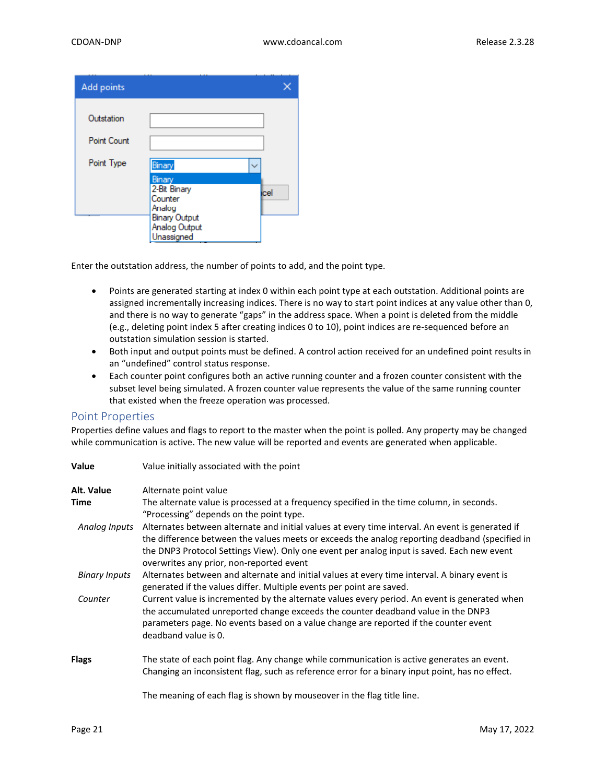| <b>Add points</b>         |                                                                                                              |      |
|---------------------------|--------------------------------------------------------------------------------------------------------------|------|
| Outstation<br>Point Count |                                                                                                              |      |
| Point Type                | Binary<br>Binary<br>2-Bit Binary<br>Counter<br>Analog<br><b>Binary Output</b><br>Analog Output<br>Unassigned | icel |

Enter the outstation address, the number of points to add, and the point type.

- Points are generated starting at index 0 within each point type at each outstation. Additional points are assigned incrementally increasing indices. There is no way to start point indices at any value other than 0, and there is no way to generate "gaps" in the address space. When a point is deleted from the middle (e.g., deleting point index 5 after creating indices 0 to 10), point indices are re-sequenced before an outstation simulation session is started.
- Both input and output points must be defined. A control action received for an undefined point results in an "undefined" control status response.
- Each counter point configures both an active running counter and a frozen counter consistent with the subset level being simulated. A frozen counter value represents the value of the same running counter that existed when the freeze operation was processed.

## <span id="page-24-0"></span>Point Properties

Properties define values and flags to report to the master when the point is polled. Any property may be changed while communication is active. The new value will be reported and events are generated when applicable.

| <b>Value</b>         | Value initially associated with the point                                                                                                                                                                                                                                                                                                    |
|----------------------|----------------------------------------------------------------------------------------------------------------------------------------------------------------------------------------------------------------------------------------------------------------------------------------------------------------------------------------------|
| Alt. Value           | Alternate point value                                                                                                                                                                                                                                                                                                                        |
| Time                 | The alternate value is processed at a frequency specified in the time column, in seconds.<br>"Processing" depends on the point type.                                                                                                                                                                                                         |
| Analog Inputs        | Alternates between alternate and initial values at every time interval. An event is generated if<br>the difference between the values meets or exceeds the analog reporting deadband (specified in<br>the DNP3 Protocol Settings View). Only one event per analog input is saved. Each new event<br>overwrites any prior, non-reported event |
| <b>Binary Inputs</b> | Alternates between and alternate and initial values at every time interval. A binary event is<br>generated if the values differ. Multiple events per point are saved.                                                                                                                                                                        |
| Counter              | Current value is incremented by the alternate values every period. An event is generated when<br>the accumulated unreported change exceeds the counter deadband value in the DNP3<br>parameters page. No events based on a value change are reported if the counter event<br>deadband value is 0.                                            |
| <b>Flags</b>         | The state of each point flag. Any change while communication is active generates an event.<br>Changing an inconsistent flag, such as reference error for a binary input point, has no effect.                                                                                                                                                |
|                      | The meaning of each flag is shown by mouseover in the flag title line.                                                                                                                                                                                                                                                                       |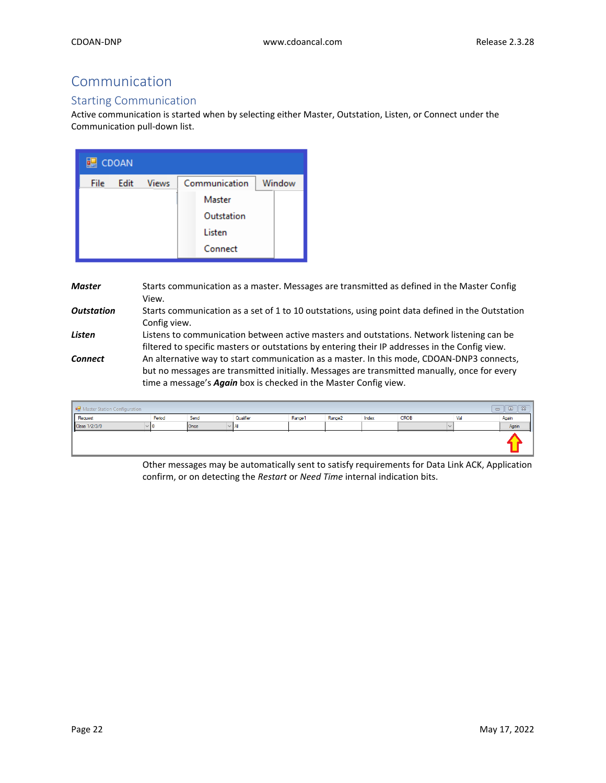# <span id="page-25-0"></span>Communication

## <span id="page-25-1"></span>Starting Communication

Active communication is started when by selecting either Master, Outstation, Listen, or Connect under the Communication pull-down list.

| <b>H</b> CDOAN |      |              |               |        |  |  |  |  |  |
|----------------|------|--------------|---------------|--------|--|--|--|--|--|
| File           | Edit | <b>Views</b> | Communication | Window |  |  |  |  |  |
|                |      |              | Master        |        |  |  |  |  |  |
|                |      |              | Outstation    |        |  |  |  |  |  |
|                |      |              | Listen        |        |  |  |  |  |  |
|                |      |              | Connect       |        |  |  |  |  |  |

*Master* Starts communication as a master. Messages are transmitted as defined in the Master Config View. *Outstation* Starts communication as a set of 1 to 10 outstations, using point data defined in the Outstation Config view. *Listen* Listens to communication between active masters and outstations. Network listening can be filtered to specific masters or outstations by entering their IP addresses in the Config view. *Connect* An alternative way to start communication as a master. In this mode, CDOAN-DNP3 connects, but no messages are transmitted initially. Messages are transmitted manually, once for every time a message's *Again* box is checked in the Master Config view.

| Master Station Configuration<br>$-$<br>CCD<br>回<br>$\qquad \qquad \Box$<br>బ |        |                   |           |        |                    |       |             |     |       |
|------------------------------------------------------------------------------|--------|-------------------|-----------|--------|--------------------|-------|-------------|-----|-------|
| Request                                                                      | Period | Send              | Qualifier | Range1 | Range <sub>2</sub> | Index | <b>CROB</b> | Val | Again |
| Class 1/2/3/0<br>$\vee$ 1                                                    |        | Once<br>$\vee$ IA |           |        |                    |       |             |     | Again |
|                                                                              |        |                   |           |        |                    |       |             |     |       |

Other messages may be automatically sent to satisfy requirements for Data Link ACK, Application confirm, or on detecting the *Restart* or *Need Time* internal indication bits.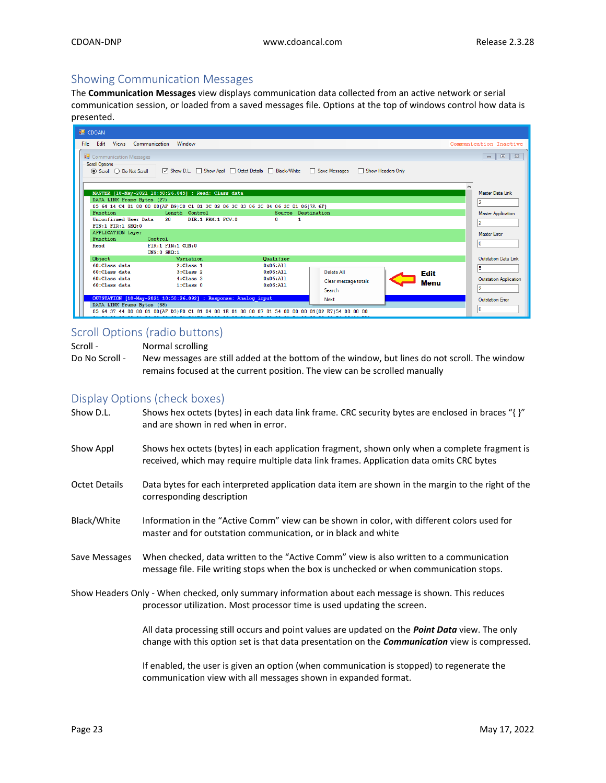## <span id="page-26-0"></span>Showing Communication Messages

The **Communication Messages** view displays communication data collected from an active network or serial communication session, or loaded from a saved messages file. Options at the top of windows control how data is presented.



## <span id="page-26-1"></span>Scroll Options (radio buttons)

Scroll - Normal scrolling

Do No Scroll - New messages are still added at the bottom of the window, but lines do not scroll. The window remains focused at the current position. The view can be scrolled manually

## <span id="page-26-2"></span>Display Options (check boxes)

| Show D.L.            | Shows hex octets (bytes) in each data link frame. CRC security bytes are enclosed in braces "{}"<br>and are shown in red when in error.                                                                        |
|----------------------|----------------------------------------------------------------------------------------------------------------------------------------------------------------------------------------------------------------|
| Show Appl            | Shows hex octets (bytes) in each application fragment, shown only when a complete fragment is<br>received, which may require multiple data link frames. Application data omits CRC bytes                       |
| <b>Octet Details</b> | Data bytes for each interpreted application data item are shown in the margin to the right of the<br>corresponding description                                                                                 |
| Black/White          | Information in the "Active Comm" view can be shown in color, with different colors used for<br>master and for outstation communication, or in black and white                                                  |
| Save Messages        | When checked, data written to the "Active Comm" view is also written to a communication<br>message file. File writing stops when the box is unchecked or when communication stops.                             |
|                      | Show Headers Only - When checked, only summary information about each message is shown. This reduces<br>processor utilization. Most processor time is used updating the screen.                                |
|                      | All data processing still occurs and point values are updated on the <i>Point Data</i> view. The only<br>change with this option set is that data presentation on the <b>Communication</b> view is compressed. |
|                      | If enabled, the user is given an option (when communication is stopped) to regenerate the<br>communication view with all messages shown in expanded format.                                                    |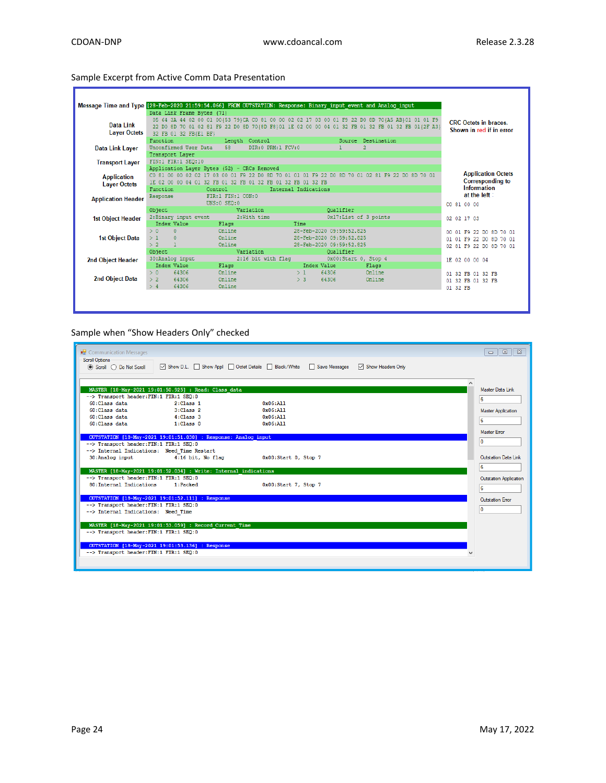## Sample Excerpt from Active Comm Data Presentation

|                                           |          | Data Link Frame Bytes (71) |                                                                                                                                                                                                     |                    |                   |                      |             |                          |                       |  |  |                   |                                                          |  |
|-------------------------------------------|----------|----------------------------|-----------------------------------------------------------------------------------------------------------------------------------------------------------------------------------------------------|--------------------|-------------------|----------------------|-------------|--------------------------|-----------------------|--|--|-------------------|----------------------------------------------------------|--|
| <b>Data Link</b><br><b>Layer Octets</b>   |          | 32 FB 01 32 FB {E1 BF}     | 05 64 3A 44 02 00 01 00{53 79}CA CO 81 00 00 02 02 17 03 00 01 F9 22 D0 8D 70{A5 AB}O1 01 01 F9<br>22 DO 8D 70 01 02 81 F9 22 DO 8D 70{8D F8}01 1E 02 00 00 04 01 32 FB 01 32 FB 01 32 FB 01{2F A3} |                    |                   |                      |             |                          |                       |  |  |                   | <b>CRC</b> Octets in braces.<br>Shown in red if in error |  |
|                                           | Function |                            |                                                                                                                                                                                                     | Length Control     |                   |                      |             |                          | Source Destination    |  |  |                   |                                                          |  |
| <b>Data Link Layer</b>                    |          | Unconfirmed User Data      | 58                                                                                                                                                                                                  |                    | DIR:0 PRM:1 FCV:0 |                      |             |                          |                       |  |  |                   |                                                          |  |
|                                           |          | Transport Layer            |                                                                                                                                                                                                     |                    |                   |                      |             |                          |                       |  |  |                   |                                                          |  |
| <b>Transport Layer</b>                    |          | FIN:1 FIR:1 SEO:10         |                                                                                                                                                                                                     |                    |                   |                      |             |                          |                       |  |  |                   |                                                          |  |
|                                           |          |                            | Application Layer Bytes (52) - CRCs Removed                                                                                                                                                         |                    |                   |                      |             |                          |                       |  |  |                   |                                                          |  |
| <b>Application</b><br><b>Layer Octets</b> |          |                            | C0 81 00 00 02 02 17 03 00 01 F9 22 D0 8D 70 01 01 01 F9 22 D0 8D 70 01 02 81 F9 22 D0 8D 70 01<br>1E 02 00 00 04 01 32 FB 01 32 FB 01 32 FB 01 32 FB 01 32 FB                                      |                    |                   |                      |             |                          |                       |  |  |                   | <b>Application Octets</b><br><b>Corresponding to</b>     |  |
|                                           | Function |                            | Control                                                                                                                                                                                             |                    |                   | Internal Indications |             |                          |                       |  |  |                   | <b>Information</b>                                       |  |
| <b>Application Header</b>                 | Response |                            | FIR:1 FIN:1 CON:0<br>UNS:0 SEQ:0                                                                                                                                                                    |                    |                   |                      |             |                          |                       |  |  | CO 81 00 00       | at the left:                                             |  |
|                                           | Object   |                            |                                                                                                                                                                                                     | Variation          |                   |                      |             | Oualifier                |                       |  |  |                   |                                                          |  |
| <b>1st Object Header</b>                  |          | 2:Binary input event       |                                                                                                                                                                                                     | 2:With time        |                   |                      |             |                          | 0x17:List of 3 points |  |  | 02 02 17 03       |                                                          |  |
|                                           |          | Index Value                | Flags                                                                                                                                                                                               |                    |                   | Time                 |             |                          |                       |  |  |                   |                                                          |  |
|                                           | > 0      | $\Omega$                   | Online                                                                                                                                                                                              |                    |                   |                      |             | 28-Feb-2020 09:59:52.825 |                       |  |  |                   | 00 01 F9 22 D0 8D 70 01                                  |  |
| <b>1st Object Data</b>                    | >1       | $\mathbf{0}$               | Online                                                                                                                                                                                              |                    |                   |                      |             | 28-Feb-2020 09:59:52.825 |                       |  |  |                   | 01 01 F9 22 D0 8D 70 01                                  |  |
|                                           | > 2      | $\blacksquare$             | Online                                                                                                                                                                                              |                    |                   |                      |             | 28-Feb-2020 09:59:52.825 |                       |  |  |                   | 02 81 F9 22 D0 8D 70 01                                  |  |
|                                           | Object   |                            |                                                                                                                                                                                                     | Variation          |                   |                      |             | Oualifier                |                       |  |  |                   |                                                          |  |
| 2nd Object Header                         |          | 30:Analog input            |                                                                                                                                                                                                     | 2:16 bit with flag |                   |                      |             |                          | 0x00:Start 0, Stop 4  |  |  | 1E 02 00 00 04    |                                                          |  |
|                                           |          | Index Value                | Flags                                                                                                                                                                                               |                    |                   |                      | Index Value |                          | Flags                 |  |  |                   |                                                          |  |
|                                           | > 0      | 64306                      | Online                                                                                                                                                                                              |                    |                   | >1                   |             | 64306                    | Online                |  |  | 01 32 FB 01 32 FB |                                                          |  |
| 2nd Object Data                           | > 2      | 64306                      | Online                                                                                                                                                                                              |                    |                   | > 3                  |             | 64306                    | Online                |  |  | 01 32 FB 01 32 FB |                                                          |  |
|                                           | >4       | 64306                      | Online                                                                                                                                                                                              |                    |                   |                      |             |                          |                       |  |  | 01 32 FB          |                                                          |  |

## Sample when "Show Headers Only" checked

| <b>P</b> Communication Messages             |                                                                     |                      |                   |          | $\Sigma$<br>$\Box$<br>$\Box$ |
|---------------------------------------------|---------------------------------------------------------------------|----------------------|-------------------|----------|------------------------------|
| <b>Scroll Options</b>                       |                                                                     |                      |                   |          |                              |
| <b>■</b> Scroll ● Do Not Scroll             | ○ Show D.L. Show Appl   Octet Details   Black/White   Save Messages |                      | Show Headers Only |          |                              |
|                                             |                                                                     |                      |                   | $\wedge$ |                              |
|                                             | MASTER [18-May-2021 19:01:50.925] : Read: Class data                |                      |                   |          | Master Data Link             |
| --> Transport header: FIN:1 FIR:1 SEO:0     |                                                                     |                      |                   |          | 6                            |
| 60:Class data                               | 2:Class 1                                                           | $0x06:$ A11          |                   |          |                              |
| 60:Class data                               | 3:Class <sub>2</sub>                                                | $0x06:$ A11          |                   |          | <b>Master Application</b>    |
| 60:Class data                               | 4:Class <sub>3</sub>                                                | $0x06:$ A11          |                   |          | l6.                          |
| 60:Class data                               | 1:Class <sub>0</sub>                                                | $0x06:$ A11          |                   |          |                              |
|                                             |                                                                     |                      |                   |          | Master Error                 |
| --> Transport header: FIN:1 FIR:1 SEO:0     | OUTSTATION [18-May-2021 19:01:51.030] : Response: Analog input      |                      |                   |          | 10                           |
| --> Internal Indications: Need Time Restart |                                                                     |                      |                   |          |                              |
|                                             | 30:Analog input 4:16 bit, No flag 0x00:Start 0, Stop 7              |                      |                   |          | Outstation Data Link         |
|                                             |                                                                     |                      |                   |          | 6                            |
|                                             | MASTER [18-May-2021 19:01:52.034] : Write: Internal indications     |                      |                   |          |                              |
| --> Transport header: FIN:1 FIR:1 SEQ:0     |                                                                     |                      |                   |          | Outstation Application       |
| 80:Internal Indications                     | 1:Packed                                                            | Ox00:Start 7, Stop 7 |                   |          | 6                            |
|                                             |                                                                     |                      |                   |          |                              |
|                                             | OUTSTATION [18-May-2021 19:01:52.111] : Response                    |                      |                   |          | <b>Outstation Error</b>      |
| --> Transport header: FIN:1 FIR:1 SEO:0     |                                                                     |                      |                   |          | ١n                           |
| --> Internal Indications: Need Time         |                                                                     |                      |                   |          |                              |
|                                             | MASTER [18-May-2021 19:01:53.059] : Record Current Time             |                      |                   |          |                              |
| --> Transport header: FIN:1 FIR:1 SEO:0     |                                                                     |                      |                   |          |                              |
|                                             |                                                                     |                      |                   |          |                              |
|                                             | OUTSTATION [18-May-2021 19:01:53.136] : Response                    |                      |                   |          |                              |
| --> Transport header: FIN:1 FIR:1 SEQ:0     |                                                                     |                      |                   |          |                              |
|                                             |                                                                     |                      |                   |          |                              |
|                                             |                                                                     |                      |                   |          |                              |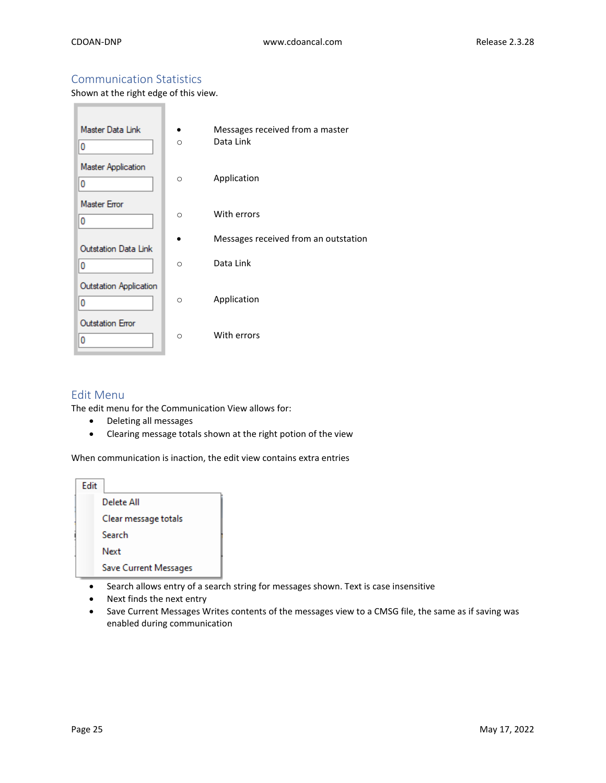Г

## <span id="page-28-0"></span>Communication Statistics

Shown at the right edge of this view.

| Master Data Link<br>0          | $\Omega$ | Messages received from a master<br>Data Link |
|--------------------------------|----------|----------------------------------------------|
| <b>Master Application</b><br>0 | $\circ$  | Application                                  |
| <b>Master Error</b><br>0       | $\Omega$ | With errors                                  |
|                                |          | Messages received from an outstation         |
| Outstation Data Link<br>0      | $\Omega$ | Data Link                                    |
| Outstation Application<br>0    | $\circ$  | Application                                  |
| Outstation Error<br>0          | $\circ$  | With errors                                  |

## <span id="page-28-1"></span>Edit Menu

The edit menu for the Communication View allows for:

- Deleting all messages
- Clearing message totals shown at the right potion of the view

When communication is inaction, the edit view contains extra entries

| Edit |                       |
|------|-----------------------|
|      | Delete All            |
|      | Clear message totals  |
|      | Search                |
|      | Next                  |
|      | Save Current Messages |

- Search allows entry of a search string for messages shown. Text is case insensitive
- Next finds the next entry
- Save Current Messages Writes contents of the messages view to a CMSG file, the same as if saving was enabled during communication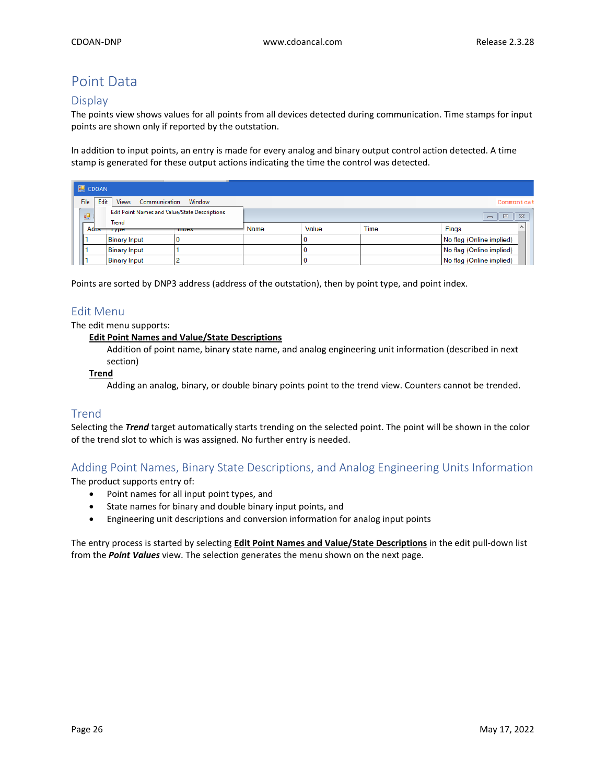# <span id="page-29-0"></span>Point Data

## <span id="page-29-1"></span>**Display**

The points view shows values for all points from all devices detected during communication. Time stamps for input points are shown only if reported by the outstation.

In addition to input points, an entry is made for every analog and binary output control action detected. A time stamp is generated for these output actions indicating the time the control was detected.

| $\Box$ CDOAN                                                   |                     |                                               |      |       |      |                                       |  |  |  |
|----------------------------------------------------------------|---------------------|-----------------------------------------------|------|-------|------|---------------------------------------|--|--|--|
| Edit<br>File<br>Communication<br>Window<br>Communicat<br>Views |                     |                                               |      |       |      |                                       |  |  |  |
| 吧                                                              |                     | Edit Point Names and Value/State Descriptions |      |       |      | $\Sigma$<br>$\qquad \qquad \Box$<br>▣ |  |  |  |
|                                                                | Trend               |                                               |      |       |      |                                       |  |  |  |
| Adre                                                           | <b>TYDE</b>         | шиех                                          | Name | Value | Time | <b>Flags</b>                          |  |  |  |
|                                                                | <b>Binary Input</b> |                                               |      |       |      | No flag (Online implied)              |  |  |  |
|                                                                | <b>Binary Input</b> |                                               |      |       |      | No flag (Online implied)              |  |  |  |
|                                                                | <b>Binary Input</b> |                                               |      |       |      | No flag (Online implied)              |  |  |  |

Points are sorted by DNP3 address (address of the outstation), then by point type, and point index.

## <span id="page-29-2"></span>Edit Menu

The edit menu supports:

## **Edit Point Names and Value/State Descriptions**

Addition of point name, binary state name, and analog engineering unit information (described in next section)

#### **Trend**

Adding an analog, binary, or double binary points point to the trend view. Counters cannot be trended.

## <span id="page-29-3"></span>Trend

Selecting the *Trend* target automatically starts trending on the selected point. The point will be shown in the color of the trend slot to which is was assigned. No further entry is needed.

## <span id="page-29-4"></span>Adding Point Names, Binary State Descriptions, and Analog Engineering Units Information

The product supports entry of:

- Point names for all input point types, and
- State names for binary and double binary input points, and
- Engineering unit descriptions and conversion information for analog input points

The entry process is started by selecting **Edit Point Names and Value/State Descriptions** in the edit pull-down list from the *Point Values* view. The selection generates the menu shown on the next page.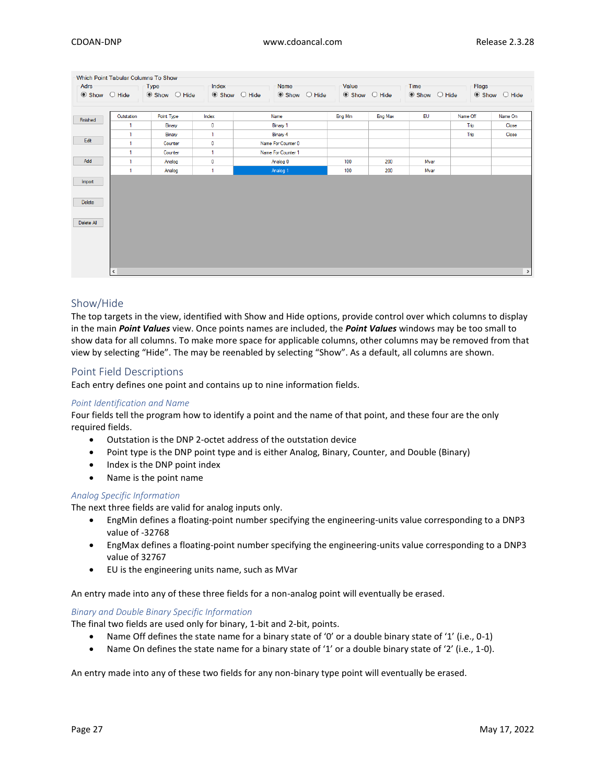|                                |              |            |              | Name and the state of the state of the state of the state of the state of the state of the state of the state |         |         | Malue and Time and Time and Time and Time and Time and Time and Time and Time and Time and Time and Time and T |          |         |
|--------------------------------|--------------|------------|--------------|---------------------------------------------------------------------------------------------------------------|---------|---------|----------------------------------------------------------------------------------------------------------------|----------|---------|
|                                |              |            |              | . In Show O Hide I Show O Hide I Show O Hide I Show O Hide I Show O Hide I Show O Hide I Show O Hide          |         |         |                                                                                                                |          |         |
| Finished                       | Outstation   | Point Type | Index        | Name                                                                                                          | Eng Min | Eng Max | EU                                                                                                             | Name Off | Name On |
|                                | -1           | Binary     | $\mathbf{0}$ | Binary 1                                                                                                      |         |         |                                                                                                                | Trip     | Close   |
| Edit                           | 1            | Binary     | 1.           | Binary 4                                                                                                      |         |         |                                                                                                                | Trip     | Close   |
|                                | $\mathbf{1}$ | Counter    | $\mathbf 0$  | Name For Counter 0                                                                                            |         |         |                                                                                                                |          |         |
|                                | 1            | Counter    | $\mathbf{1}$ | Name For Counter 1                                                                                            |         |         |                                                                                                                |          |         |
|                                | $\mathbf{1}$ | Analog     | 0            | Analog 0                                                                                                      | 100     | 200     | Mvar                                                                                                           |          |         |
|                                | 1            | Analog     | 1            | Analog 1                                                                                                      | 100     | 200     | Mvar                                                                                                           |          |         |
|                                |              |            |              |                                                                                                               |         |         |                                                                                                                |          |         |
|                                |              |            |              |                                                                                                               |         |         |                                                                                                                |          |         |
|                                |              |            |              |                                                                                                               |         |         |                                                                                                                |          |         |
| Import<br>Delete<br>Delete All |              |            |              |                                                                                                               |         |         |                                                                                                                |          |         |

#### Show/Hide

The top targets in the view, identified with Show and Hide options, provide control over which columns to display in the main *Point Values* view. Once points names are included, the *Point Values* windows may be too small to show data for all columns. To make more space for applicable columns, other columns may be removed from that view by selecting "Hide". The may be reenabled by selecting "Show". As a default, all columns are shown.

#### Point Field Descriptions

Each entry defines one point and contains up to nine information fields.

#### *Point Identification and Name*

Four fields tell the program how to identify a point and the name of that point, and these four are the only required fields.

- Outstation is the DNP 2-octet address of the outstation device
- Point type is the DNP point type and is either Analog, Binary, Counter, and Double (Binary)
- Index is the DNP point index
- Name is the point name

#### *Analog Specific Information*

The next three fields are valid for analog inputs only.

- EngMin defines a floating-point number specifying the engineering-units value corresponding to a DNP3 value of -32768
- EngMax defines a floating-point number specifying the engineering-units value corresponding to a DNP3 value of 32767
- EU is the engineering units name, such as MVar

An entry made into any of these three fields for a non-analog point will eventually be erased.

#### *Binary and Double Binary Specific Information*

The final two fields are used only for binary, 1-bit and 2-bit, points.

- Name Off defines the state name for a binary state of '0' or a double binary state of '1' (i.e., 0-1)
- Name On defines the state name for a binary state of '1' or a double binary state of '2' (i.e., 1-0).

An entry made into any of these two fields for any non-binary type point will eventually be erased.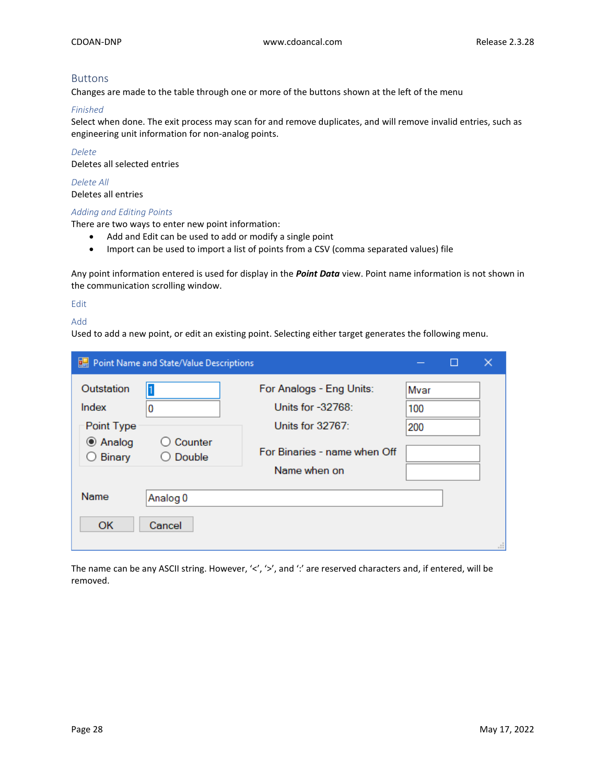## Buttons

Changes are made to the table through one or more of the buttons shown at the left of the menu

#### *Finished*

Select when done. The exit process may scan for and remove duplicates, and will remove invalid entries, such as engineering unit information for non-analog points.

#### *Delete*

Deletes all selected entries

*Delete All* Deletes all entries

## *Adding and Editing Points*

There are two ways to enter new point information:

- Add and Edit can be used to add or modify a single point
- Import can be used to import a list of points from a CSV (comma separated values) file

Any point information entered is used for display in the *Point Data* view. Point name information is not shown in the communication scrolling window.

#### Edit

#### Add

Used to add a new point, or edit an existing point. Selecting either target generates the following menu.

|                                                                           | <b>D</b> <sub>n</sub> Point Name and State/Value Descriptions |                                                                                                                   |                    | П | ×       |
|---------------------------------------------------------------------------|---------------------------------------------------------------|-------------------------------------------------------------------------------------------------------------------|--------------------|---|---------|
| Outstation<br>Index<br>Point Type<br><b>◎ Analog</b><br>$\bigcirc$ Binary | 0<br>$\supset$ Counter<br>Double                              | For Analogs - Eng Units:<br>Units for -32768:<br>Units for 32767:<br>For Binaries - name when Off<br>Name when on | Mvar<br>100<br>200 |   |         |
| Name<br>OK                                                                | Analog <sub>0</sub><br>Cancel                                 |                                                                                                                   |                    |   | $\cdot$ |

The name can be any ASCII string. However,  $\langle \cdot, \cdot \rangle'$ , and  $\langle \cdot \rangle'$  are reserved characters and, if entered, will be removed.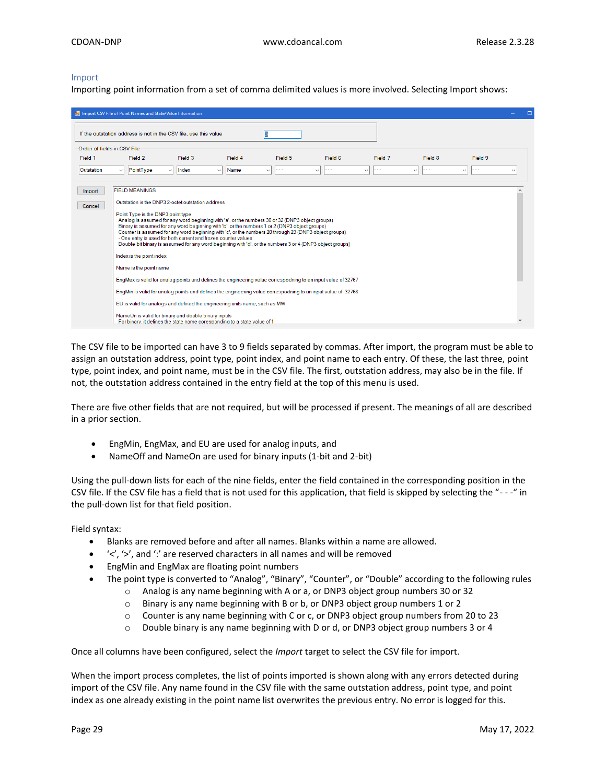#### Import

Importing point information from a set of comma delimited values is more involved. Selecting Import shows:

|                             | Import CSV File of Point Names and State/Value Information                                                                                                                                                                                                                                                                                                                                                                                                                                                                                                                                                                                                                                                                                                            |                        |                      |                           |                                                                                                                                                                                                                                                                                                                                           |                        |                        |                     | □ |
|-----------------------------|-----------------------------------------------------------------------------------------------------------------------------------------------------------------------------------------------------------------------------------------------------------------------------------------------------------------------------------------------------------------------------------------------------------------------------------------------------------------------------------------------------------------------------------------------------------------------------------------------------------------------------------------------------------------------------------------------------------------------------------------------------------------------|------------------------|----------------------|---------------------------|-------------------------------------------------------------------------------------------------------------------------------------------------------------------------------------------------------------------------------------------------------------------------------------------------------------------------------------------|------------------------|------------------------|---------------------|---|
|                             | If the outstation address is not in the CSV file, use this value                                                                                                                                                                                                                                                                                                                                                                                                                                                                                                                                                                                                                                                                                                      |                        |                      |                           |                                                                                                                                                                                                                                                                                                                                           |                        |                        |                     |   |
| Order of fields in CSV File |                                                                                                                                                                                                                                                                                                                                                                                                                                                                                                                                                                                                                                                                                                                                                                       |                        |                      |                           |                                                                                                                                                                                                                                                                                                                                           |                        |                        |                     |   |
| Field 1                     | Field 2                                                                                                                                                                                                                                                                                                                                                                                                                                                                                                                                                                                                                                                                                                                                                               | Field 3                | Field 4              | Field 5                   | Field 6                                                                                                                                                                                                                                                                                                                                   | Field 7                | Field 8                | Field 9             |   |
| Outstation                  | PointType<br>$\checkmark$                                                                                                                                                                                                                                                                                                                                                                                                                                                                                                                                                                                                                                                                                                                                             | <b>Index</b><br>$\vee$ | Name<br>$\checkmark$ | $\sim$<br>$\vee$ $\vdash$ | <b><i><u>Parts</u></i></b><br>$\vee$                                                                                                                                                                                                                                                                                                      | $\sim$<br>$\checkmark$ | $\sim$<br>$\checkmark$ | $-$<br>$\checkmark$ |   |
| Import<br>Cancel            | <b>FIELD MEANINGS</b><br>Outstation is the DNP3 2-octet outstation address<br>Point Type is the DNP3 point type<br>Analog is assumed for any word beginning with 'a', or the numbers 30 or 32 (DNP3 object groups)<br>Binary is assumed for any word beginning with 'b', or the numbers 1 or 2 (DNP3 object groups)<br>Counter is assumed for any word beginning with 'c', or the numbers 20 through 23 (DNP3 object groups)<br>- One entry is used for both current and frozen counter values<br>Index is the point index<br>Name is the point name<br>EU is valid for analogs and defined the engineering units name, such as MW<br>NameOn is valid for binary and double binary inputs<br>For binary, it defines the state name coresponding to a state value of 1 |                        |                      |                           | Double-bit binary is assumed for any word beginning with 'd', or the numbers 3 or 4 (DNP3 object groups)<br>EngMax is valid for analog points and defines the engineering value correspodning to an input value of 32767<br>EngMin is valid for analog points and defines the engineering value correspodning to an input value of -32768 |                        |                        |                     |   |

The CSV file to be imported can have 3 to 9 fields separated by commas. After import, the program must be able to assign an outstation address, point type, point index, and point name to each entry. Of these, the last three, point type, point index, and point name, must be in the CSV file. The first, outstation address, may also be in the file. If not, the outstation address contained in the entry field at the top of this menu is used.

There are five other fields that are not required, but will be processed if present. The meanings of all are described in a prior section.

- EngMin, EngMax, and EU are used for analog inputs, and
- NameOff and NameOn are used for binary inputs (1-bit and 2-bit)

Using the pull-down lists for each of the nine fields, enter the field contained in the corresponding position in the CSV file. If the CSV file has a field that is not used for this application, that field is skipped by selecting the "- - -" in the pull-down list for that field position.

Field syntax:

- Blanks are removed before and after all names. Blanks within a name are allowed.
- $\bullet$   $\leq$ ,  $\leq$ , and  $\leq$  are reserved characters in all names and will be removed
- EngMin and EngMax are floating point numbers
- The point type is converted to "Analog", "Binary", "Counter", or "Double" according to the following rules
	- o Analog is any name beginning with A or a, or DNP3 object group numbers 30 or 32
	- o Binary is any name beginning with B or b, or DNP3 object group numbers 1 or 2
	- $\circ$  Counter is any name beginning with C or c, or DNP3 object group numbers from 20 to 23
	- $\circ$  Double binary is any name beginning with D or d, or DNP3 object group numbers 3 or 4

Once all columns have been configured, select the *Import* target to select the CSV file for import.

When the import process completes, the list of points imported is shown along with any errors detected during import of the CSV file. Any name found in the CSV file with the same outstation address, point type, and point index as one already existing in the point name list overwrites the previous entry. No error is logged for this.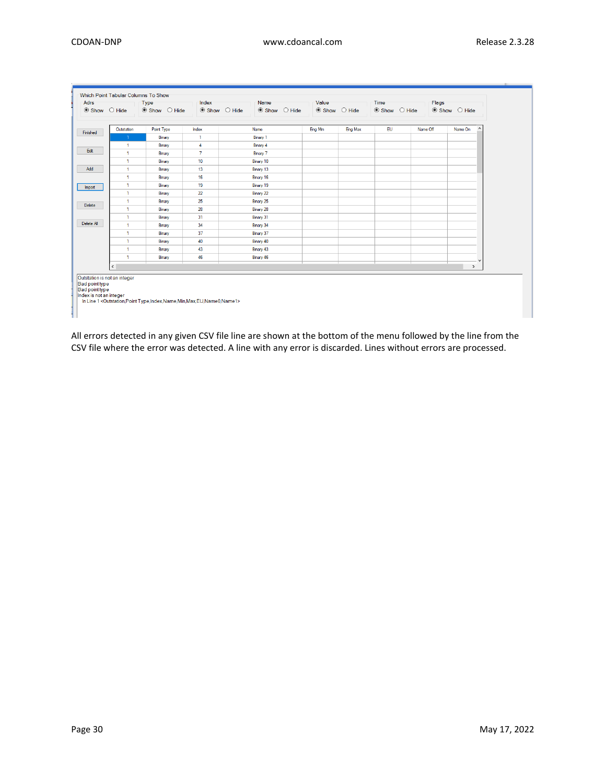| Adrs<br>$\odot$ Show $\odot$ Hide |              | Type<br>◉ Show ○ Hide | -Index          | <b>Name</b><br>● Show ○ Hide<br>◉ Show ○ Hide | Value   | $\circledcirc$ Show $\circledcirc$ Hide | Time<br>◉ Show ○ Hide | Flags    | ◉ Show ○ Hide |
|-----------------------------------|--------------|-----------------------|-----------------|-----------------------------------------------|---------|-----------------------------------------|-----------------------|----------|---------------|
| Finished                          | Outstation   | Point Type            | Index           | Name                                          | Eng Min | Eng Max                                 | EU                    | Name Off | Name On       |
|                                   | $\mathbf{1}$ | Binary                | 1               | Binary 1                                      |         |                                         |                       |          |               |
|                                   | $\mathbf{1}$ | Binary                | 4               | Binary 4                                      |         |                                         |                       |          |               |
| Edit                              | 1            | Binary                | $\overline{7}$  | Binary 7                                      |         |                                         |                       |          |               |
|                                   | $\mathbf{1}$ | Binary                | 10 <sup>°</sup> | Binary 10                                     |         |                                         |                       |          |               |
| Add                               | 1            | Binary                | 13              | Binary 13                                     |         |                                         |                       |          |               |
|                                   | 1            | Binary                | 16              | Binary 16                                     |         |                                         |                       |          |               |
| Import                            | -1           | Binary                | 19              | Binary 19                                     |         |                                         |                       |          |               |
|                                   | 1.           | Binary                | 22              | Binary 22                                     |         |                                         |                       |          |               |
| Delete                            | $\mathbf{1}$ | Binary                | 25              | Binary 25                                     |         |                                         |                       |          |               |
|                                   | 1            | Binary                | 28              | Binary 28                                     |         |                                         |                       |          |               |
|                                   | $\mathbf{1}$ | Binary                | 31              | Binary 31                                     |         |                                         |                       |          |               |
| Delete All                        | 1            | Binary                | 34              | Binary 34                                     |         |                                         |                       |          |               |
|                                   | $\mathbf{1}$ | Binary                | 37              | Binary 37                                     |         |                                         |                       |          |               |
|                                   | 1            | Binary                | 40              | Binary 40                                     |         |                                         |                       |          |               |
|                                   | $\mathbf{1}$ | Binary                | 43              | Binary 43                                     |         |                                         |                       |          |               |
|                                   | $\mathbf{1}$ | Binary                | 46              | Binary 46                                     |         |                                         |                       |          |               |
|                                   | $\langle$    |                       |                 |                                               |         |                                         |                       |          | $\rightarrow$ |

All errors detected in any given CSV file line are shown at the bottom of the menu followed by the line from the CSV file where the error was detected. A line with any error is discarded. Lines without errors are processed.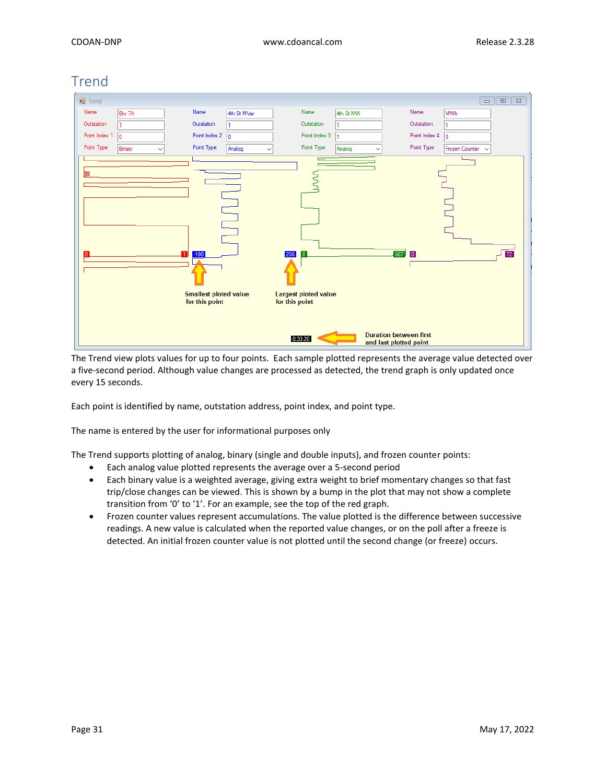

The Trend view plots values for up to four points. Each sample plotted represents the average value detected over a five-second period. Although value changes are processed as detected, the trend graph is only updated once every 15 seconds.

Each point is identified by name, outstation address, point index, and point type.

The name is entered by the user for informational purposes only

The Trend supports plotting of analog, binary (single and double inputs), and frozen counter points:

- Each analog value plotted represents the average over a 5-second period
- Each binary value is a weighted average, giving extra weight to brief momentary changes so that fast trip/close changes can be viewed. This is shown by a bump in the plot that may not show a complete transition from '0' to '1'. For an example, see the top of the red graph.
- Frozen counter values represent accumulations. The value plotted is the difference between successive readings. A new value is calculated when the reported value changes, or on the poll after a freeze is detected. An initial frozen counter value is not plotted until the second change (or freeze) occurs.

# <span id="page-34-0"></span>Trend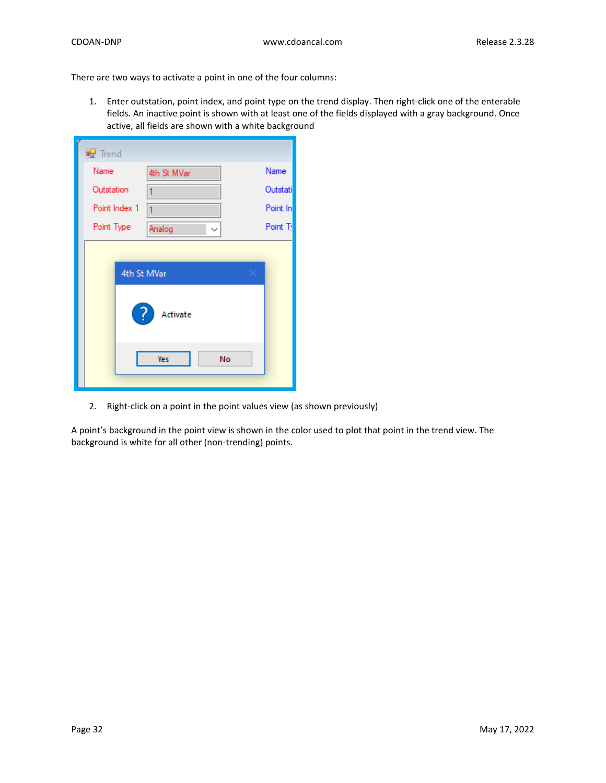There are two ways to activate a point in one of the four columns:

1. Enter outstation, point index, and point type on the trend display. Then right-click one of the enterable fields. An inactive point is shown with at least one of the fields displayed with a gray background. Once active, all fields are shown with a white background

| <b>P</b> Trend |                                      |          |  |
|----------------|--------------------------------------|----------|--|
| Name           | 4th St MVar                          | Name     |  |
| Outstation     | 1                                    | Outstati |  |
| Point Index 1  | $\mathbf{1}$                         | Point In |  |
| Point Type     | Analog<br>$\checkmark$               | Point Ty |  |
|                | 4th St MVar<br>Activate<br>Yes<br>No |          |  |

2. Right-click on a point in the point values view (as shown previously)

A point's background in the point view is shown in the color used to plot that point in the trend view. The background is white for all other (non-trending) points.